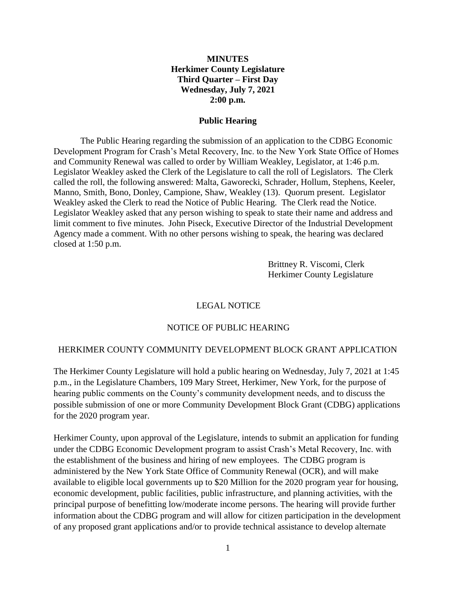#### **MINUTES Herkimer County Legislature Third Quarter – First Day Wednesday, July 7, 2021 2:00 p.m.**

#### **Public Hearing**

The Public Hearing regarding the submission of an application to the CDBG Economic Development Program for Crash's Metal Recovery, Inc. to the New York State Office of Homes and Community Renewal was called to order by William Weakley, Legislator, at 1:46 p.m. Legislator Weakley asked the Clerk of the Legislature to call the roll of Legislators. The Clerk called the roll, the following answered: Malta, Gaworecki, Schrader, Hollum, Stephens, Keeler, Manno, Smith, Bono, Donley, Campione, Shaw, Weakley (13). Quorum present. Legislator Weakley asked the Clerk to read the Notice of Public Hearing. The Clerk read the Notice. Legislator Weakley asked that any person wishing to speak to state their name and address and limit comment to five minutes. John Piseck, Executive Director of the Industrial Development Agency made a comment. With no other persons wishing to speak, the hearing was declared closed at 1:50 p.m.

> Brittney R. Viscomi, Clerk Herkimer County Legislature

#### LEGAL NOTICE

#### NOTICE OF PUBLIC HEARING

#### HERKIMER COUNTY COMMUNITY DEVELOPMENT BLOCK GRANT APPLICATION

The Herkimer County Legislature will hold a public hearing on Wednesday, July 7, 2021 at 1:45 p.m., in the Legislature Chambers, 109 Mary Street, Herkimer, New York, for the purpose of hearing public comments on the County's community development needs, and to discuss the possible submission of one or more Community Development Block Grant (CDBG) applications for the 2020 program year.

Herkimer County, upon approval of the Legislature, intends to submit an application for funding under the CDBG Economic Development program to assist Crash's Metal Recovery, Inc. with the establishment of the business and hiring of new employees. The CDBG program is administered by the New York State Office of Community Renewal (OCR), and will make available to eligible local governments up to \$20 Million for the 2020 program year for housing, economic development, public facilities, public infrastructure, and planning activities, with the principal purpose of benefitting low/moderate income persons. The hearing will provide further information about the CDBG program and will allow for citizen participation in the development of any proposed grant applications and/or to provide technical assistance to develop alternate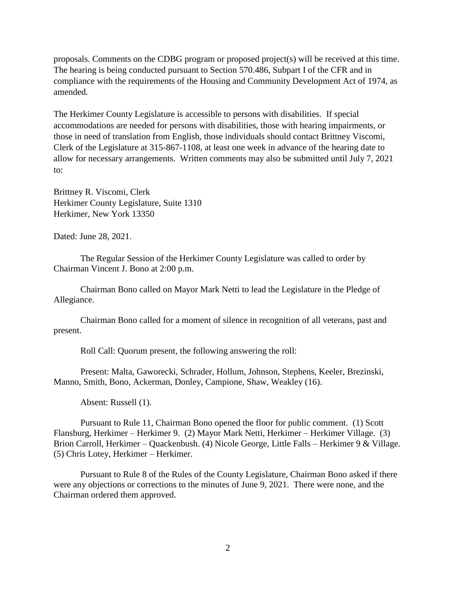proposals. Comments on the CDBG program or proposed project(s) will be received at this time. The hearing is being conducted pursuant to Section 570.486, Subpart I of the CFR and in compliance with the requirements of the Housing and Community Development Act of 1974, as amended.

The Herkimer County Legislature is accessible to persons with disabilities. If special accommodations are needed for persons with disabilities, those with hearing impairments, or those in need of translation from English, those individuals should contact Brittney Viscomi, Clerk of the Legislature at 315-867-1108, at least one week in advance of the hearing date to allow for necessary arrangements. Written comments may also be submitted until July 7, 2021 to:

Brittney R. Viscomi, Clerk Herkimer County Legislature, Suite 1310 Herkimer, New York 13350

Dated: June 28, 2021.

The Regular Session of the Herkimer County Legislature was called to order by Chairman Vincent J. Bono at 2:00 p.m.

Chairman Bono called on Mayor Mark Netti to lead the Legislature in the Pledge of Allegiance.

Chairman Bono called for a moment of silence in recognition of all veterans, past and present.

Roll Call: Quorum present, the following answering the roll:

Present: Malta, Gaworecki, Schrader, Hollum, Johnson, Stephens, Keeler, Brezinski, Manno, Smith, Bono, Ackerman, Donley, Campione, Shaw, Weakley (16).

Absent: Russell (1).

Pursuant to Rule 11, Chairman Bono opened the floor for public comment. (1) Scott Flansburg, Herkimer – Herkimer 9. (2) Mayor Mark Netti, Herkimer – Herkimer Village. (3) Brion Carroll, Herkimer – Quackenbush. (4) Nicole George, Little Falls – Herkimer 9 & Village. (5) Chris Lotey, Herkimer – Herkimer.

Pursuant to Rule 8 of the Rules of the County Legislature, Chairman Bono asked if there were any objections or corrections to the minutes of June 9, 2021. There were none, and the Chairman ordered them approved.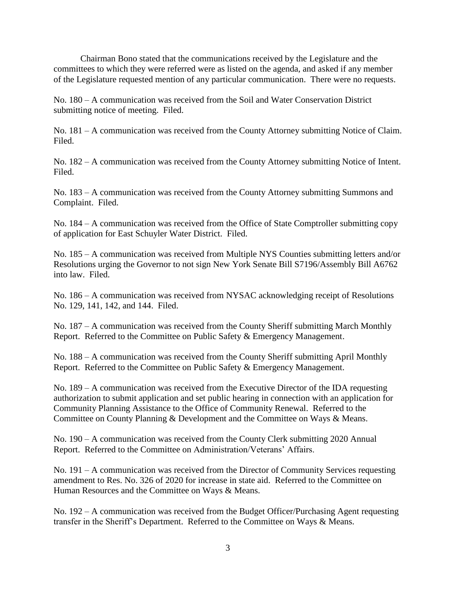Chairman Bono stated that the communications received by the Legislature and the committees to which they were referred were as listed on the agenda, and asked if any member of the Legislature requested mention of any particular communication. There were no requests.

No. 180 – A communication was received from the Soil and Water Conservation District submitting notice of meeting. Filed.

No. 181 – A communication was received from the County Attorney submitting Notice of Claim. Filed.

No. 182 – A communication was received from the County Attorney submitting Notice of Intent. Filed.

No. 183 – A communication was received from the County Attorney submitting Summons and Complaint. Filed.

No. 184 – A communication was received from the Office of State Comptroller submitting copy of application for East Schuyler Water District. Filed.

No. 185 – A communication was received from Multiple NYS Counties submitting letters and/or Resolutions urging the Governor to not sign New York Senate Bill S7196/Assembly Bill A6762 into law. Filed.

No. 186 – A communication was received from NYSAC acknowledging receipt of Resolutions No. 129, 141, 142, and 144. Filed.

No. 187 – A communication was received from the County Sheriff submitting March Monthly Report. Referred to the Committee on Public Safety & Emergency Management.

No. 188 – A communication was received from the County Sheriff submitting April Monthly Report. Referred to the Committee on Public Safety & Emergency Management.

No. 189 – A communication was received from the Executive Director of the IDA requesting authorization to submit application and set public hearing in connection with an application for Community Planning Assistance to the Office of Community Renewal. Referred to the Committee on County Planning & Development and the Committee on Ways & Means.

No. 190 – A communication was received from the County Clerk submitting 2020 Annual Report. Referred to the Committee on Administration/Veterans' Affairs.

No. 191 – A communication was received from the Director of Community Services requesting amendment to Res. No. 326 of 2020 for increase in state aid. Referred to the Committee on Human Resources and the Committee on Ways & Means.

No. 192 – A communication was received from the Budget Officer/Purchasing Agent requesting transfer in the Sheriff's Department. Referred to the Committee on Ways & Means.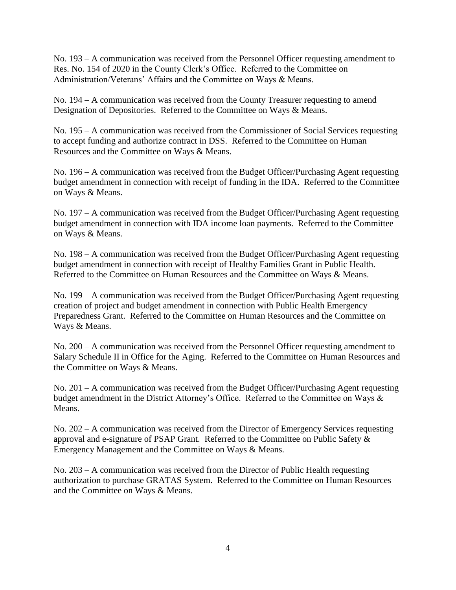No. 193 – A communication was received from the Personnel Officer requesting amendment to Res. No. 154 of 2020 in the County Clerk's Office. Referred to the Committee on Administration/Veterans' Affairs and the Committee on Ways & Means.

No. 194 – A communication was received from the County Treasurer requesting to amend Designation of Depositories. Referred to the Committee on Ways & Means.

No. 195 – A communication was received from the Commissioner of Social Services requesting to accept funding and authorize contract in DSS. Referred to the Committee on Human Resources and the Committee on Ways & Means.

No. 196 – A communication was received from the Budget Officer/Purchasing Agent requesting budget amendment in connection with receipt of funding in the IDA. Referred to the Committee on Ways & Means.

No. 197 – A communication was received from the Budget Officer/Purchasing Agent requesting budget amendment in connection with IDA income loan payments. Referred to the Committee on Ways & Means.

No. 198 – A communication was received from the Budget Officer/Purchasing Agent requesting budget amendment in connection with receipt of Healthy Families Grant in Public Health. Referred to the Committee on Human Resources and the Committee on Ways & Means.

No. 199 – A communication was received from the Budget Officer/Purchasing Agent requesting creation of project and budget amendment in connection with Public Health Emergency Preparedness Grant. Referred to the Committee on Human Resources and the Committee on Ways & Means.

No. 200 – A communication was received from the Personnel Officer requesting amendment to Salary Schedule II in Office for the Aging. Referred to the Committee on Human Resources and the Committee on Ways & Means.

No. 201 – A communication was received from the Budget Officer/Purchasing Agent requesting budget amendment in the District Attorney's Office. Referred to the Committee on Ways & Means.

No. 202 – A communication was received from the Director of Emergency Services requesting approval and e-signature of PSAP Grant. Referred to the Committee on Public Safety & Emergency Management and the Committee on Ways & Means.

No. 203 – A communication was received from the Director of Public Health requesting authorization to purchase GRATAS System. Referred to the Committee on Human Resources and the Committee on Ways & Means.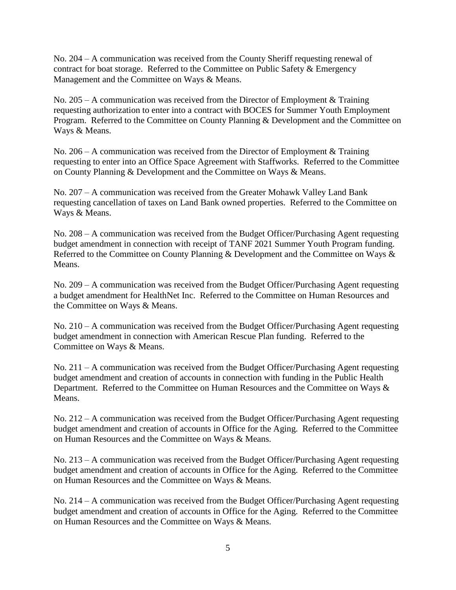No. 204 – A communication was received from the County Sheriff requesting renewal of contract for boat storage. Referred to the Committee on Public Safety & Emergency Management and the Committee on Ways & Means.

No. 205 – A communication was received from the Director of Employment & Training requesting authorization to enter into a contract with BOCES for Summer Youth Employment Program. Referred to the Committee on County Planning & Development and the Committee on Ways & Means.

No. 206 – A communication was received from the Director of Employment  $&$  Training requesting to enter into an Office Space Agreement with Staffworks. Referred to the Committee on County Planning & Development and the Committee on Ways & Means.

No. 207 – A communication was received from the Greater Mohawk Valley Land Bank requesting cancellation of taxes on Land Bank owned properties. Referred to the Committee on Ways & Means.

No. 208 – A communication was received from the Budget Officer/Purchasing Agent requesting budget amendment in connection with receipt of TANF 2021 Summer Youth Program funding. Referred to the Committee on County Planning & Development and the Committee on Ways & Means.

No. 209 – A communication was received from the Budget Officer/Purchasing Agent requesting a budget amendment for HealthNet Inc. Referred to the Committee on Human Resources and the Committee on Ways & Means.

No. 210 – A communication was received from the Budget Officer/Purchasing Agent requesting budget amendment in connection with American Rescue Plan funding. Referred to the Committee on Ways & Means.

No. 211 – A communication was received from the Budget Officer/Purchasing Agent requesting budget amendment and creation of accounts in connection with funding in the Public Health Department. Referred to the Committee on Human Resources and the Committee on Ways & Means.

No. 212 – A communication was received from the Budget Officer/Purchasing Agent requesting budget amendment and creation of accounts in Office for the Aging. Referred to the Committee on Human Resources and the Committee on Ways & Means.

No. 213 – A communication was received from the Budget Officer/Purchasing Agent requesting budget amendment and creation of accounts in Office for the Aging. Referred to the Committee on Human Resources and the Committee on Ways & Means.

No. 214 – A communication was received from the Budget Officer/Purchasing Agent requesting budget amendment and creation of accounts in Office for the Aging. Referred to the Committee on Human Resources and the Committee on Ways & Means.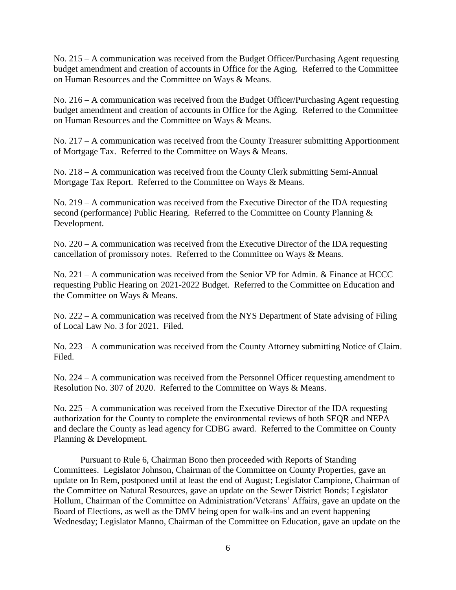No. 215 – A communication was received from the Budget Officer/Purchasing Agent requesting budget amendment and creation of accounts in Office for the Aging. Referred to the Committee on Human Resources and the Committee on Ways & Means.

No. 216 – A communication was received from the Budget Officer/Purchasing Agent requesting budget amendment and creation of accounts in Office for the Aging. Referred to the Committee on Human Resources and the Committee on Ways & Means.

No. 217 – A communication was received from the County Treasurer submitting Apportionment of Mortgage Tax. Referred to the Committee on Ways & Means.

No. 218 – A communication was received from the County Clerk submitting Semi-Annual Mortgage Tax Report. Referred to the Committee on Ways & Means.

No. 219 – A communication was received from the Executive Director of the IDA requesting second (performance) Public Hearing. Referred to the Committee on County Planning & Development.

No. 220 – A communication was received from the Executive Director of the IDA requesting cancellation of promissory notes. Referred to the Committee on Ways & Means.

No. 221 – A communication was received from the Senior VP for Admin. & Finance at HCCC requesting Public Hearing on 2021-2022 Budget. Referred to the Committee on Education and the Committee on Ways & Means.

No. 222 – A communication was received from the NYS Department of State advising of Filing of Local Law No. 3 for 2021. Filed.

No. 223 – A communication was received from the County Attorney submitting Notice of Claim. Filed.

No. 224 – A communication was received from the Personnel Officer requesting amendment to Resolution No. 307 of 2020. Referred to the Committee on Ways & Means.

No. 225 – A communication was received from the Executive Director of the IDA requesting authorization for the County to complete the environmental reviews of both SEQR and NEPA and declare the County as lead agency for CDBG award. Referred to the Committee on County Planning & Development.

Pursuant to Rule 6, Chairman Bono then proceeded with Reports of Standing Committees. Legislator Johnson, Chairman of the Committee on County Properties, gave an update on In Rem, postponed until at least the end of August; Legislator Campione, Chairman of the Committee on Natural Resources, gave an update on the Sewer District Bonds; Legislator Hollum, Chairman of the Committee on Administration/Veterans' Affairs, gave an update on the Board of Elections, as well as the DMV being open for walk-ins and an event happening Wednesday; Legislator Manno, Chairman of the Committee on Education, gave an update on the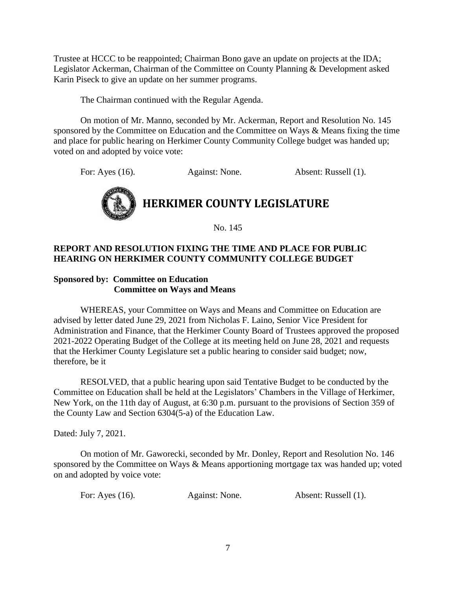Trustee at HCCC to be reappointed; Chairman Bono gave an update on projects at the IDA; Legislator Ackerman, Chairman of the Committee on County Planning & Development asked Karin Piseck to give an update on her summer programs.

The Chairman continued with the Regular Agenda.

On motion of Mr. Manno, seconded by Mr. Ackerman, Report and Resolution No. 145 sponsored by the Committee on Education and the Committee on Ways & Means fixing the time and place for public hearing on Herkimer County Community College budget was handed up; voted on and adopted by voice vote:

For: Ayes (16). Against: None. Absent: Russell (1).



No. 145

#### **REPORT AND RESOLUTION FIXING THE TIME AND PLACE FOR PUBLIC HEARING ON HERKIMER COUNTY COMMUNITY COLLEGE BUDGET**

#### **Sponsored by: Committee on Education Committee on Ways and Means**

WHEREAS, your Committee on Ways and Means and Committee on Education are advised by letter dated June 29, 2021 from Nicholas F. Laino, Senior Vice President for Administration and Finance, that the Herkimer County Board of Trustees approved the proposed 2021-2022 Operating Budget of the College at its meeting held on June 28, 2021 and requests that the Herkimer County Legislature set a public hearing to consider said budget; now, therefore, be it

RESOLVED, that a public hearing upon said Tentative Budget to be conducted by the Committee on Education shall be held at the Legislators' Chambers in the Village of Herkimer, New York, on the 11th day of August, at 6:30 p.m. pursuant to the provisions of Section 359 of the County Law and Section 6304(5-a) of the Education Law.

Dated: July 7, 2021.

On motion of Mr. Gaworecki, seconded by Mr. Donley, Report and Resolution No. 146 sponsored by the Committee on Ways & Means apportioning mortgage tax was handed up; voted on and adopted by voice vote:

For: Ayes (16). Against: None. Absent: Russell (1).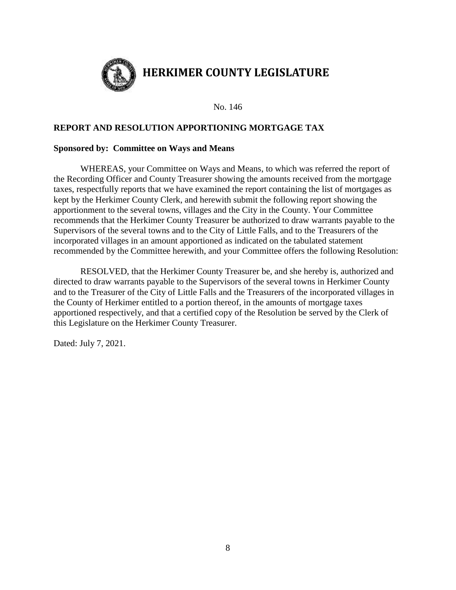

No. 146

#### **REPORT AND RESOLUTION APPORTIONING MORTGAGE TAX**

#### **Sponsored by: Committee on Ways and Means**

WHEREAS, your Committee on Ways and Means, to which was referred the report of the Recording Officer and County Treasurer showing the amounts received from the mortgage taxes, respectfully reports that we have examined the report containing the list of mortgages as kept by the Herkimer County Clerk, and herewith submit the following report showing the apportionment to the several towns, villages and the City in the County. Your Committee recommends that the Herkimer County Treasurer be authorized to draw warrants payable to the Supervisors of the several towns and to the City of Little Falls, and to the Treasurers of the incorporated villages in an amount apportioned as indicated on the tabulated statement recommended by the Committee herewith, and your Committee offers the following Resolution:

RESOLVED, that the Herkimer County Treasurer be, and she hereby is, authorized and directed to draw warrants payable to the Supervisors of the several towns in Herkimer County and to the Treasurer of the City of Little Falls and the Treasurers of the incorporated villages in the County of Herkimer entitled to a portion thereof, in the amounts of mortgage taxes apportioned respectively, and that a certified copy of the Resolution be served by the Clerk of this Legislature on the Herkimer County Treasurer.

Dated: July 7, 2021.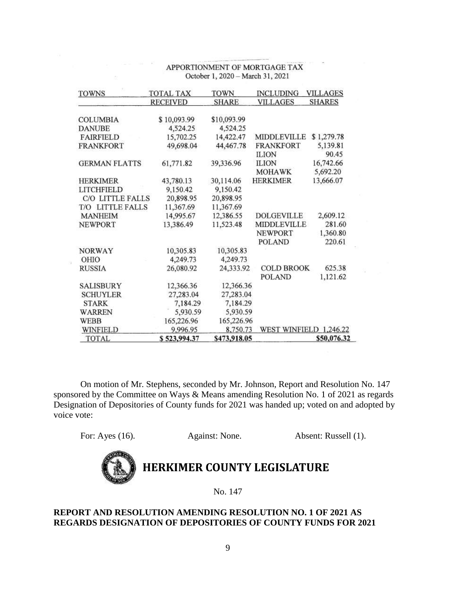| <b>TOWNS</b>         | <b>TOTAL TAX</b> | TOWN         | <b>INCLUDING</b>       | <b>VILLAGES</b> |
|----------------------|------------------|--------------|------------------------|-----------------|
|                      | <b>RECEIVED</b>  | SHARE        | <b>VILLAGES</b>        | <b>SHARES</b>   |
| <b>COLUMBIA</b>      | \$10,093.99      | \$10,093.99  |                        |                 |
| <b>DANUBE</b>        | 4,524.25         | 4,524.25     |                        |                 |
| <b>FAIRFIELD</b>     | 15,702.25        | 14,422.47    | MIDDLEVILLE            | \$1,279.78      |
| <b>FRANKFORT</b>     | 49,698.04        | 44,467.78    | <b>FRANKFORT</b>       | 5,139.81        |
|                      |                  |              | <b>ILION</b>           | 90.45           |
| <b>GERMAN FLATTS</b> | 61,771.82        | 39,336.96    | <b>ILION</b>           | 16,742.66       |
|                      |                  |              | <b>MOHAWK</b>          | 5,692.20        |
| <b>HERKIMER</b>      | 43,780.13        | 30,114.06    | <b>HERKIMER</b>        | 13,666.07       |
| <b>LITCHFIELD</b>    | 9,150.42         | 9,150.42     |                        |                 |
| C/O LITTLE FALLS     | 20,898.95        | 20,898.95    |                        |                 |
| T/O LITTLE FALLS     | 11,367.69        | 11,367.69    |                        |                 |
| <b>MANHEIM</b>       | 14,995.67        | 12,386.55    | DOLGEVILLE             | 2,609.12        |
| <b>NEWPORT</b>       | 13,386.49        | 11,523.48    | <b>MIDDLEVILLE</b>     | 281.60          |
|                      |                  |              | <b>NEWPORT</b>         | 1,360.80        |
|                      |                  |              | <b>POLAND</b>          | 220.61          |
| <b>NORWAY</b>        | 10,305.83        | 10,305.83    |                        |                 |
| OHIO                 | 4,249.73         | 4,249.73     |                        |                 |
| <b>RUSSIA</b>        | 26,080.92        | 24,333.92    | <b>COLD BROOK</b>      | 625.38          |
|                      |                  |              | <b>POLAND</b>          | 1,121.62        |
| <b>SALISBURY</b>     | 12,366.36        | 12,366.36    |                        |                 |
| <b>SCHUYLER</b>      | 27,283.04        | 27,283.04    |                        |                 |
| <b>STARK</b>         | 7,184.29         | 7,184.29     |                        |                 |
| WARREN               | 5,930.59         | 5,930.59     |                        |                 |
| <b>WEBB</b>          | 165,226.96       | 165,226.96   |                        |                 |
| WINFIELD             | 9,996.95         | 8,750.73     | WEST WINFIELD 1,246.22 |                 |
| <b>TOTAL</b>         | \$523,994.37     | \$473,918.05 |                        | \$50,076.32     |

#### APPORTIONMENT OF MORTGAGE TAX October 1, 2020 - March 31, 2021

On motion of Mr. Stephens, seconded by Mr. Johnson, Report and Resolution No. 147 sponsored by the Committee on Ways & Means amending Resolution No. 1 of 2021 as regards Designation of Depositories of County funds for 2021 was handed up; voted on and adopted by voice vote:

For: Ayes (16). Against: None. Absent: Russell (1).



## **HERKIMER COUNTY LEGISLATURE**

No. 147

#### **REPORT AND RESOLUTION AMENDING RESOLUTION NO. 1 OF 2021 AS REGARDS DESIGNATION OF DEPOSITORIES OF COUNTY FUNDS FOR 2021**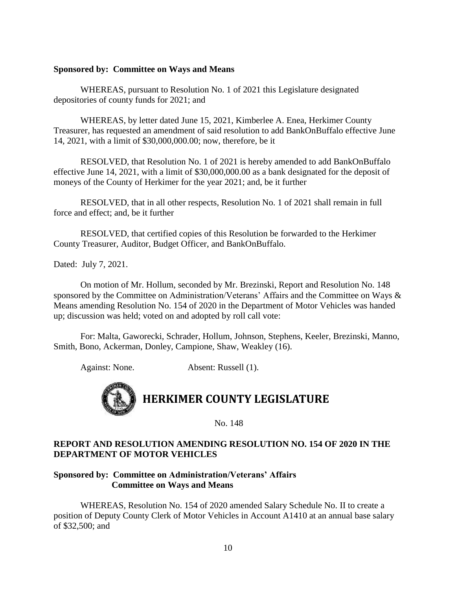#### **Sponsored by: Committee on Ways and Means**

WHEREAS, pursuant to Resolution No. 1 of 2021 this Legislature designated depositories of county funds for 2021; and

WHEREAS, by letter dated June 15, 2021, Kimberlee A. Enea, Herkimer County Treasurer, has requested an amendment of said resolution to add BankOnBuffalo effective June 14, 2021, with a limit of \$30,000,000.00; now, therefore, be it

RESOLVED, that Resolution No. 1 of 2021 is hereby amended to add BankOnBuffalo effective June 14, 2021, with a limit of \$30,000,000.00 as a bank designated for the deposit of moneys of the County of Herkimer for the year 2021; and, be it further

RESOLVED, that in all other respects, Resolution No. 1 of 2021 shall remain in full force and effect; and, be it further

RESOLVED, that certified copies of this Resolution be forwarded to the Herkimer County Treasurer, Auditor, Budget Officer, and BankOnBuffalo.

Dated: July 7, 2021.

On motion of Mr. Hollum, seconded by Mr. Brezinski, Report and Resolution No. 148 sponsored by the Committee on Administration/Veterans' Affairs and the Committee on Ways & Means amending Resolution No. 154 of 2020 in the Department of Motor Vehicles was handed up; discussion was held; voted on and adopted by roll call vote:

For: Malta, Gaworecki, Schrader, Hollum, Johnson, Stephens, Keeler, Brezinski, Manno, Smith, Bono, Ackerman, Donley, Campione, Shaw, Weakley (16).

Against: None. Absent: Russell (1).



No. 148

#### **REPORT AND RESOLUTION AMENDING RESOLUTION NO. 154 OF 2020 IN THE DEPARTMENT OF MOTOR VEHICLES**

#### **Sponsored by: Committee on Administration/Veterans' Affairs Committee on Ways and Means**

WHEREAS, Resolution No. 154 of 2020 amended Salary Schedule No. II to create a position of Deputy County Clerk of Motor Vehicles in Account A1410 at an annual base salary of \$32,500; and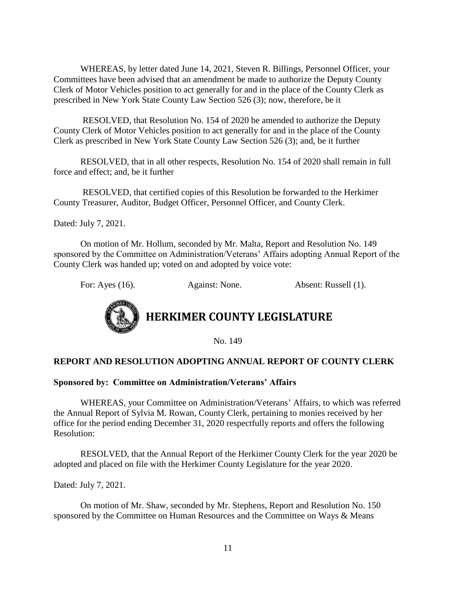WHEREAS, by letter dated June 14, 2021, Steven R. Billings, Personnel Officer, your Committees have been advised that an amendment be made to authorize the Deputy County Clerk of Motor Vehicles position to act generally for and in the place of the County Clerk as prescribed in New York State County Law Section 526 (3); now, therefore, be it

RESOLVED, that Resolution No. 154 of 2020 be amended to authorize the Deputy County Clerk of Motor Vehicles position to act generally for and in the place of the County Clerk as prescribed in New York State County Law Section 526 (3); and, be it further

RESOLVED, that in all other respects, Resolution No. 154 of 2020 shall remain in full force and effect; and, be it further

RESOLVED, that certified copies of this Resolution be forwarded to the Herkimer County Treasurer, Auditor, Budget Officer, Personnel Officer, and County Clerk.

Dated: July 7, 2021.

On motion of Mr. Hollum, seconded by Mr. Malta, Report and Resolution No. 149 sponsored by the Committee on Administration/Veterans' Affairs adopting Annual Report of the County Clerk was handed up; voted on and adopted by voice vote:

For: Ayes (16). Against: None. Absent: Russell (1).



No. 149

#### **REPORT AND RESOLUTION ADOPTING ANNUAL REPORT OF COUNTY CLERK**

#### **Sponsored by: Committee on Administration/Veterans' Affairs**

WHEREAS, your Committee on Administration/Veterans' Affairs, to which was referred the Annual Report of Sylvia M. Rowan, County Clerk, pertaining to monies received by her office for the period ending December 31, 2020 respectfully reports and offers the following Resolution:

RESOLVED, that the Annual Report of the Herkimer County Clerk for the year 2020 be adopted and placed on file with the Herkimer County Legislature for the year 2020.

Dated: July 7, 2021.

On motion of Mr. Shaw, seconded by Mr. Stephens, Report and Resolution No. 150 sponsored by the Committee on Human Resources and the Committee on Ways & Means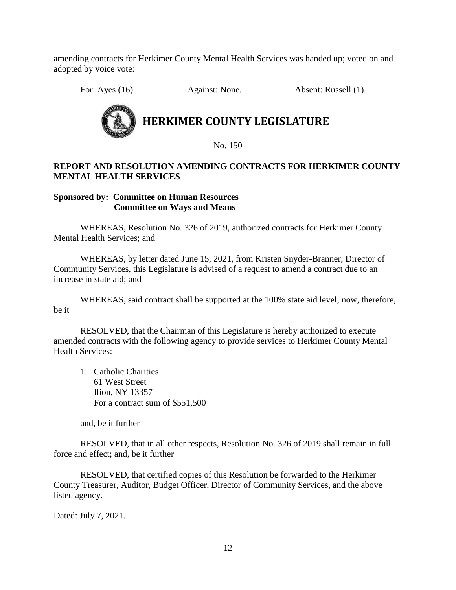amending contracts for Herkimer County Mental Health Services was handed up; voted on and adopted by voice vote:

For: Ayes (16). Against: None. Absent: Russell (1).



No. 150

#### **REPORT AND RESOLUTION AMENDING CONTRACTS FOR HERKIMER COUNTY MENTAL HEALTH SERVICES**

#### **Sponsored by: Committee on Human Resources Committee on Ways and Means**

WHEREAS, Resolution No. 326 of 2019, authorized contracts for Herkimer County Mental Health Services; and

WHEREAS, by letter dated June 15, 2021, from Kristen Snyder-Branner, Director of Community Services, this Legislature is advised of a request to amend a contract due to an increase in state aid; and

WHEREAS, said contract shall be supported at the 100% state aid level; now, therefore, be it

RESOLVED, that the Chairman of this Legislature is hereby authorized to execute amended contracts with the following agency to provide services to Herkimer County Mental Health Services:

1. Catholic Charities 61 West Street Ilion, NY 13357 For a contract sum of \$551,500

and, be it further

RESOLVED, that in all other respects, Resolution No. 326 of 2019 shall remain in full force and effect; and, be it further

RESOLVED, that certified copies of this Resolution be forwarded to the Herkimer County Treasurer, Auditor, Budget Officer, Director of Community Services, and the above listed agency.

Dated: July 7, 2021.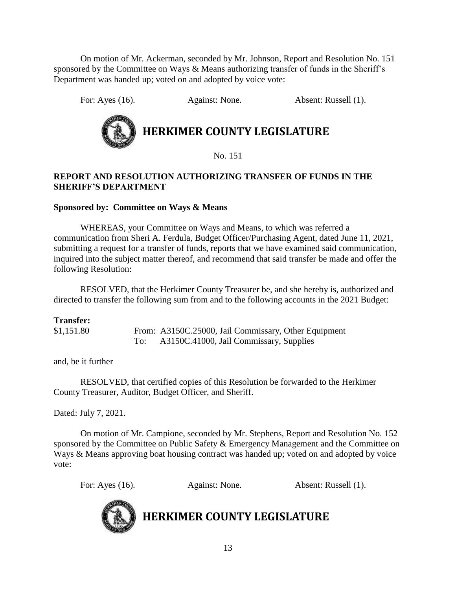On motion of Mr. Ackerman, seconded by Mr. Johnson, Report and Resolution No. 151 sponsored by the Committee on Ways & Means authorizing transfer of funds in the Sheriff's Department was handed up; voted on and adopted by voice vote:

For: Ayes (16). Against: None. Absent: Russell (1).

## **HERKIMER COUNTY LEGISLATURE**

No. 151

#### **REPORT AND RESOLUTION AUTHORIZING TRANSFER OF FUNDS IN THE SHERIFF'S DEPARTMENT**

#### **Sponsored by: Committee on Ways & Means**

WHEREAS, your Committee on Ways and Means, to which was referred a communication from Sheri A. Ferdula, Budget Officer/Purchasing Agent, dated June 11, 2021, submitting a request for a transfer of funds, reports that we have examined said communication, inquired into the subject matter thereof, and recommend that said transfer be made and offer the following Resolution:

RESOLVED, that the Herkimer County Treasurer be, and she hereby is, authorized and directed to transfer the following sum from and to the following accounts in the 2021 Budget:

#### **Transfer:**

\$1,151.80 From: A3150C.25000, Jail Commissary, Other Equipment To: A3150C.41000, Jail Commissary, Supplies

and, be it further

RESOLVED, that certified copies of this Resolution be forwarded to the Herkimer County Treasurer, Auditor, Budget Officer, and Sheriff.

Dated: July 7, 2021.

On motion of Mr. Campione, seconded by Mr. Stephens, Report and Resolution No. 152 sponsored by the Committee on Public Safety & Emergency Management and the Committee on Ways & Means approving boat housing contract was handed up; voted on and adopted by voice vote:

For: Ayes (16). Against: None. Absent: Russell (1).



**HERKIMER COUNTY LEGISLATURE**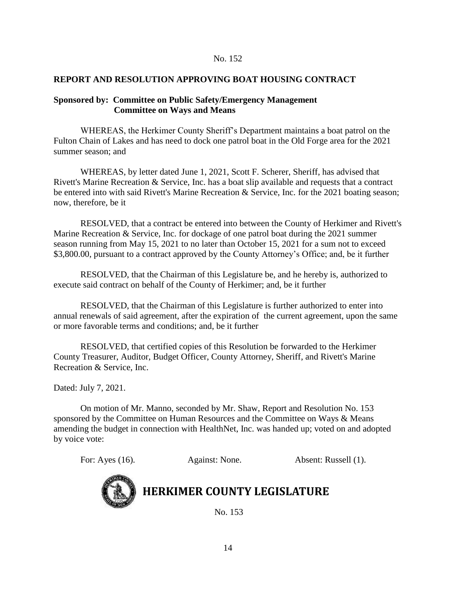#### No. 152

#### **REPORT AND RESOLUTION APPROVING BOAT HOUSING CONTRACT**

#### **Sponsored by: Committee on Public Safety/Emergency Management Committee on Ways and Means**

WHEREAS, the Herkimer County Sheriff's Department maintains a boat patrol on the Fulton Chain of Lakes and has need to dock one patrol boat in the Old Forge area for the 2021 summer season; and

WHEREAS, by letter dated June 1, 2021, Scott F. Scherer, Sheriff, has advised that Rivett's Marine Recreation & Service, Inc. has a boat slip available and requests that a contract be entered into with said Rivett's Marine Recreation & Service, Inc. for the 2021 boating season; now, therefore, be it

RESOLVED, that a contract be entered into between the County of Herkimer and Rivett's Marine Recreation & Service, Inc. for dockage of one patrol boat during the 2021 summer season running from May 15, 2021 to no later than October 15, 2021 for a sum not to exceed \$3,800.00, pursuant to a contract approved by the County Attorney's Office; and, be it further

RESOLVED, that the Chairman of this Legislature be, and he hereby is, authorized to execute said contract on behalf of the County of Herkimer; and, be it further

RESOLVED, that the Chairman of this Legislature is further authorized to enter into annual renewals of said agreement, after the expiration of the current agreement, upon the same or more favorable terms and conditions; and, be it further

RESOLVED, that certified copies of this Resolution be forwarded to the Herkimer County Treasurer, Auditor, Budget Officer, County Attorney, Sheriff, and Rivett's Marine Recreation & Service, Inc.

Dated: July 7, 2021.

On motion of Mr. Manno, seconded by Mr. Shaw, Report and Resolution No. 153 sponsored by the Committee on Human Resources and the Committee on Ways & Means amending the budget in connection with HealthNet, Inc. was handed up; voted on and adopted by voice vote:

For: Ayes (16). Against: None. Absent: Russell (1).



### **HERKIMER COUNTY LEGISLATURE**

No. 153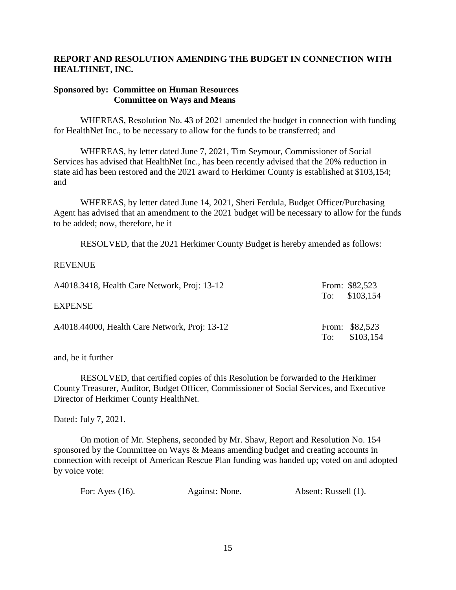#### **REPORT AND RESOLUTION AMENDING THE BUDGET IN CONNECTION WITH HEALTHNET, INC.**

#### **Sponsored by: Committee on Human Resources Committee on Ways and Means**

WHEREAS, Resolution No. 43 of 2021 amended the budget in connection with funding for HealthNet Inc., to be necessary to allow for the funds to be transferred; and

WHEREAS, by letter dated June 7, 2021, Tim Seymour, Commissioner of Social Services has advised that HealthNet Inc., has been recently advised that the 20% reduction in state aid has been restored and the 2021 award to Herkimer County is established at \$103,154; and

WHEREAS, by letter dated June 14, 2021, Sheri Ferdula, Budget Officer/Purchasing Agent has advised that an amendment to the 2021 budget will be necessary to allow for the funds to be added; now, therefore, be it

RESOLVED, that the 2021 Herkimer County Budget is hereby amended as follows:

#### REVENUE

| A4018.3418, Health Care Network, Proj: 13-12  |     | From: \$82,523<br>To: $$103,154$ |
|-----------------------------------------------|-----|----------------------------------|
| EXPENSE                                       |     |                                  |
| A4018.44000, Health Care Network, Proj: 13-12 | To: | From: \$82,523<br>\$103,154      |

and, be it further

RESOLVED, that certified copies of this Resolution be forwarded to the Herkimer County Treasurer, Auditor, Budget Officer, Commissioner of Social Services, and Executive Director of Herkimer County HealthNet.

Dated: July 7, 2021.

On motion of Mr. Stephens, seconded by Mr. Shaw, Report and Resolution No. 154 sponsored by the Committee on Ways & Means amending budget and creating accounts in connection with receipt of American Rescue Plan funding was handed up; voted on and adopted by voice vote:

| For: Ayes $(16)$ . | Against: None. | Absent: Russell (1). |
|--------------------|----------------|----------------------|
|--------------------|----------------|----------------------|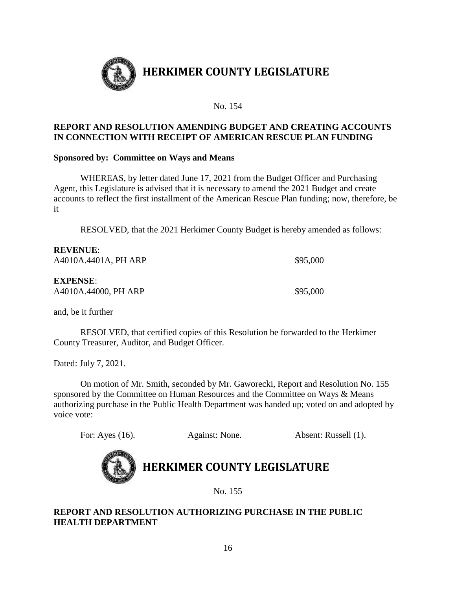

No. 154

#### **REPORT AND RESOLUTION AMENDING BUDGET AND CREATING ACCOUNTS IN CONNECTION WITH RECEIPT OF AMERICAN RESCUE PLAN FUNDING**

#### **Sponsored by: Committee on Ways and Means**

WHEREAS, by letter dated June 17, 2021 from the Budget Officer and Purchasing Agent, this Legislature is advised that it is necessary to amend the 2021 Budget and create accounts to reflect the first installment of the American Rescue Plan funding; now, therefore, be it

RESOLVED, that the 2021 Herkimer County Budget is hereby amended as follows:

| \$95,000 |
|----------|
|          |
|          |
| \$95,000 |
|          |

and, be it further

RESOLVED, that certified copies of this Resolution be forwarded to the Herkimer County Treasurer, Auditor, and Budget Officer.

Dated: July 7, 2021.

On motion of Mr. Smith, seconded by Mr. Gaworecki, Report and Resolution No. 155 sponsored by the Committee on Human Resources and the Committee on Ways & Means authorizing purchase in the Public Health Department was handed up; voted on and adopted by voice vote:

For: Ayes (16). Against: None. Absent: Russell (1).



## **HERKIMER COUNTY LEGISLATURE**

No. 155

#### **REPORT AND RESOLUTION AUTHORIZING PURCHASE IN THE PUBLIC HEALTH DEPARTMENT**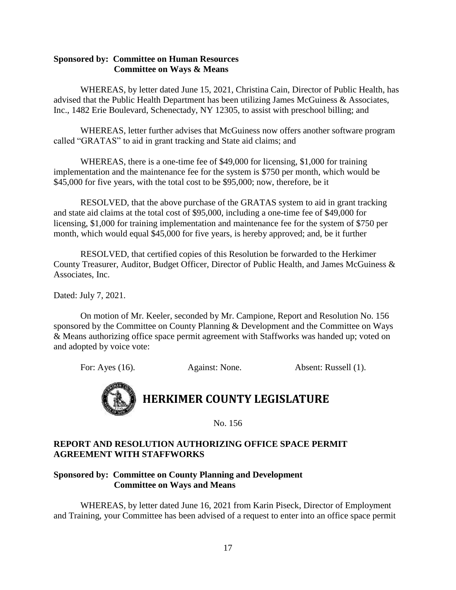#### **Sponsored by: Committee on Human Resources Committee on Ways & Means**

WHEREAS, by letter dated June 15, 2021, Christina Cain, Director of Public Health, has advised that the Public Health Department has been utilizing James McGuiness & Associates, Inc., 1482 Erie Boulevard, Schenectady, NY 12305, to assist with preschool billing; and

WHEREAS, letter further advises that McGuiness now offers another software program called "GRATAS" to aid in grant tracking and State aid claims; and

WHEREAS, there is a one-time fee of \$49,000 for licensing, \$1,000 for training implementation and the maintenance fee for the system is \$750 per month, which would be \$45,000 for five years, with the total cost to be \$95,000; now, therefore, be it

RESOLVED, that the above purchase of the GRATAS system to aid in grant tracking and state aid claims at the total cost of \$95,000, including a one-time fee of \$49,000 for licensing, \$1,000 for training implementation and maintenance fee for the system of \$750 per month, which would equal \$45,000 for five years, is hereby approved; and, be it further

RESOLVED, that certified copies of this Resolution be forwarded to the Herkimer County Treasurer, Auditor, Budget Officer, Director of Public Health, and James McGuiness & Associates, Inc.

Dated: July 7, 2021.

On motion of Mr. Keeler, seconded by Mr. Campione, Report and Resolution No. 156 sponsored by the Committee on County Planning & Development and the Committee on Ways & Means authorizing office space permit agreement with Staffworks was handed up; voted on and adopted by voice vote:

For: Ayes (16). Against: None. Absent: Russell (1).

## **HERKIMER COUNTY LEGISLATURE**

No. 156

#### **REPORT AND RESOLUTION AUTHORIZING OFFICE SPACE PERMIT AGREEMENT WITH STAFFWORKS**

#### **Sponsored by: Committee on County Planning and Development Committee on Ways and Means**

WHEREAS, by letter dated June 16, 2021 from Karin Piseck, Director of Employment and Training, your Committee has been advised of a request to enter into an office space permit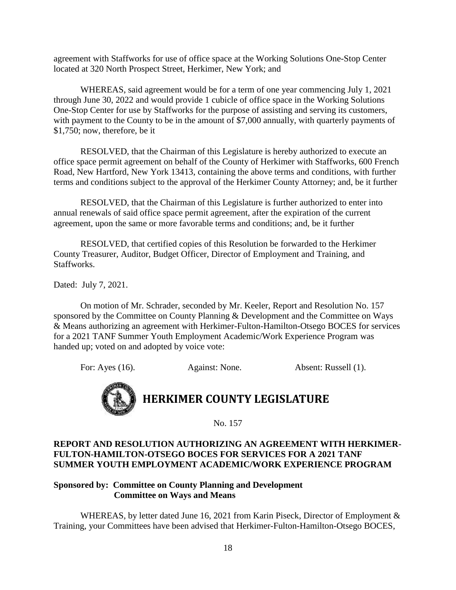agreement with Staffworks for use of office space at the Working Solutions One-Stop Center located at 320 North Prospect Street, Herkimer, New York; and

WHEREAS, said agreement would be for a term of one year commencing July 1, 2021 through June 30, 2022 and would provide 1 cubicle of office space in the Working Solutions One-Stop Center for use by Staffworks for the purpose of assisting and serving its customers, with payment to the County to be in the amount of \$7,000 annually, with quarterly payments of \$1,750; now, therefore, be it

RESOLVED, that the Chairman of this Legislature is hereby authorized to execute an office space permit agreement on behalf of the County of Herkimer with Staffworks, 600 French Road, New Hartford, New York 13413, containing the above terms and conditions, with further terms and conditions subject to the approval of the Herkimer County Attorney; and, be it further

RESOLVED, that the Chairman of this Legislature is further authorized to enter into annual renewals of said office space permit agreement, after the expiration of the current agreement, upon the same or more favorable terms and conditions; and, be it further

RESOLVED, that certified copies of this Resolution be forwarded to the Herkimer County Treasurer, Auditor, Budget Officer, Director of Employment and Training, and Staffworks.

Dated: July 7, 2021.

On motion of Mr. Schrader, seconded by Mr. Keeler, Report and Resolution No. 157 sponsored by the Committee on County Planning & Development and the Committee on Ways & Means authorizing an agreement with Herkimer-Fulton-Hamilton-Otsego BOCES for services for a 2021 TANF Summer Youth Employment Academic/Work Experience Program was handed up; voted on and adopted by voice vote:

For: Ayes (16). Against: None. Absent: Russell (1).

# **HERKIMER COUNTY LEGISLATURE**

No. 157

#### **REPORT AND RESOLUTION AUTHORIZING AN AGREEMENT WITH HERKIMER-FULTON-HAMILTON-OTSEGO BOCES FOR SERVICES FOR A 2021 TANF SUMMER YOUTH EMPLOYMENT ACADEMIC/WORK EXPERIENCE PROGRAM**

#### **Sponsored by: Committee on County Planning and Development Committee on Ways and Means**

WHEREAS, by letter dated June 16, 2021 from Karin Piseck, Director of Employment & Training, your Committees have been advised that Herkimer-Fulton-Hamilton-Otsego BOCES,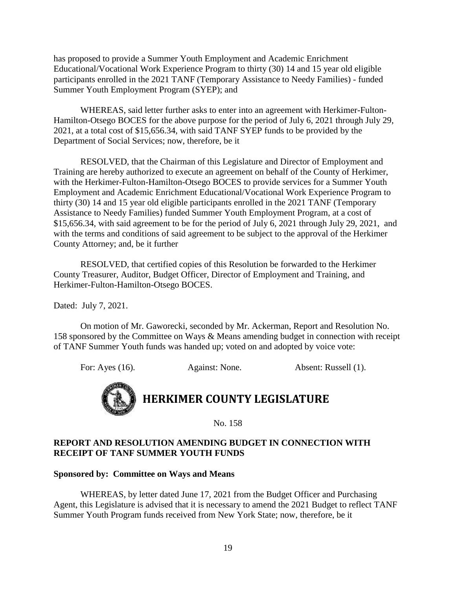has proposed to provide a Summer Youth Employment and Academic Enrichment Educational/Vocational Work Experience Program to thirty (30) 14 and 15 year old eligible participants enrolled in the 2021 TANF (Temporary Assistance to Needy Families) - funded Summer Youth Employment Program (SYEP); and

WHEREAS, said letter further asks to enter into an agreement with Herkimer-Fulton-Hamilton-Otsego BOCES for the above purpose for the period of July 6, 2021 through July 29, 2021, at a total cost of \$15,656.34, with said TANF SYEP funds to be provided by the Department of Social Services; now, therefore, be it

RESOLVED, that the Chairman of this Legislature and Director of Employment and Training are hereby authorized to execute an agreement on behalf of the County of Herkimer, with the Herkimer-Fulton-Hamilton-Otsego BOCES to provide services for a Summer Youth Employment and Academic Enrichment Educational/Vocational Work Experience Program to thirty (30) 14 and 15 year old eligible participants enrolled in the 2021 TANF (Temporary Assistance to Needy Families) funded Summer Youth Employment Program, at a cost of \$15,656.34, with said agreement to be for the period of July 6, 2021 through July 29, 2021, and with the terms and conditions of said agreement to be subject to the approval of the Herkimer County Attorney; and, be it further

RESOLVED, that certified copies of this Resolution be forwarded to the Herkimer County Treasurer, Auditor, Budget Officer, Director of Employment and Training, and Herkimer-Fulton-Hamilton-Otsego BOCES.

Dated: July 7, 2021.

On motion of Mr. Gaworecki, seconded by Mr. Ackerman, Report and Resolution No. 158 sponsored by the Committee on Ways & Means amending budget in connection with receipt of TANF Summer Youth funds was handed up; voted on and adopted by voice vote:

For: Ayes (16). Against: None. Absent: Russell (1).

## **HERKIMER COUNTY LEGISLATURE**

No. 158

#### **REPORT AND RESOLUTION AMENDING BUDGET IN CONNECTION WITH RECEIPT OF TANF SUMMER YOUTH FUNDS**

#### **Sponsored by: Committee on Ways and Means**

WHEREAS, by letter dated June 17, 2021 from the Budget Officer and Purchasing Agent, this Legislature is advised that it is necessary to amend the 2021 Budget to reflect TANF Summer Youth Program funds received from New York State; now, therefore, be it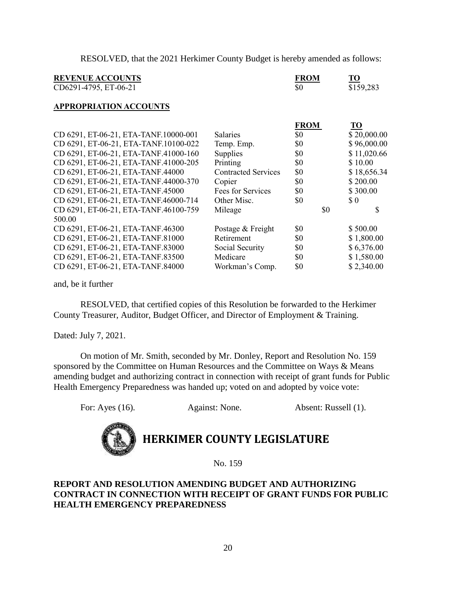RESOLVED, that the 2021 Herkimer County Budget is hereby amended as follows:

| <b>REVENUE ACCOUNTS</b><br>CD6291-4795, ET-06-21 |                            | <b>FROM</b><br>\$0 | TO<br>\$159,283             |
|--------------------------------------------------|----------------------------|--------------------|-----------------------------|
| <b>APPROPRIATION ACCOUNTS</b>                    |                            |                    |                             |
|                                                  |                            | <b>FROM</b>        | TО                          |
| CD 6291, ET-06-21, ETA-TANF.10000-001            | <b>Salaries</b>            | \$0                | \$20,000.00                 |
| CD 6291, ET-06-21, ETA-TANF.10100-022            | Temp. Emp.                 | \$0                | \$96,000.00                 |
| CD 6291, ET-06-21, ETA-TANF.41000-160            | Supplies                   | \$0                | \$11,020.66                 |
| CD 6291, ET-06-21, ETA-TANF.41000-205            | Printing                   | \$0                | \$10.00                     |
| CD 6291, ET-06-21, ETA-TANF.44000                | <b>Contracted Services</b> | \$0                | \$18,656.34                 |
| CD 6291, ET-06-21, ETA-TANF.44000-370            | Copier                     | \$0                | \$200.00                    |
| CD 6291, ET-06-21, ETA-TANF.45000                | Fees for Services          | \$0                | \$300.00                    |
| CD 6291, ET-06-21, ETA-TANF.46000-714            | Other Misc.                | \$0                | $\boldsymbol{\mathsf{S}}$ 0 |
| CD 6291, ET-06-21, ETA-TANF.46100-759            | Mileage                    | \$0                | S                           |
| 500.00                                           |                            |                    |                             |
| CD 6291, ET-06-21, ETA-TANF.46300                | Postage & Freight          | \$0                | \$500.00                    |
| CD 6291, ET-06-21, ETA-TANF.81000                | Retirement                 | \$0                | \$1,800.00                  |
| CD 6291, ET-06-21, ETA-TANF.83000                | Social Security            | \$0                | \$6,376.00                  |
| CD 6291, ET-06-21, ETA-TANF.83500                | Medicare                   | \$0                | \$1,580.00                  |
| CD 6291, ET-06-21, ETA-TANF.84000                | Workman's Comp.            | \$0                | \$2,340.00                  |

and, be it further

RESOLVED, that certified copies of this Resolution be forwarded to the Herkimer County Treasurer, Auditor, Budget Officer, and Director of Employment & Training.

Dated: July 7, 2021.

On motion of Mr. Smith, seconded by Mr. Donley, Report and Resolution No. 159 sponsored by the Committee on Human Resources and the Committee on Ways & Means amending budget and authorizing contract in connection with receipt of grant funds for Public Health Emergency Preparedness was handed up; voted on and adopted by voice vote:

For: Ayes (16). Against: None. Absent: Russell (1).



## **HERKIMER COUNTY LEGISLATURE**

No. 159

#### **REPORT AND RESOLUTION AMENDING BUDGET AND AUTHORIZING CONTRACT IN CONNECTION WITH RECEIPT OF GRANT FUNDS FOR PUBLIC HEALTH EMERGENCY PREPAREDNESS**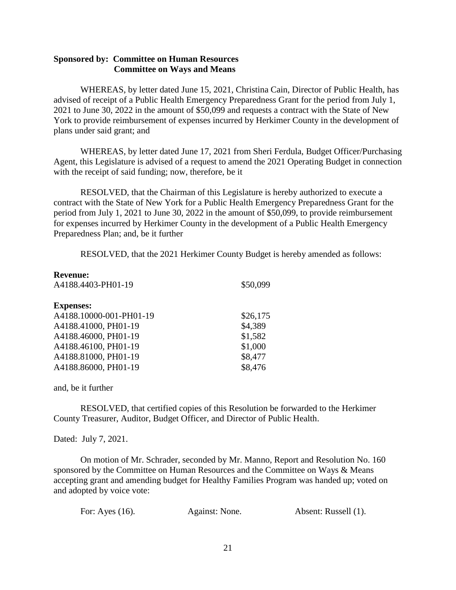#### **Sponsored by: Committee on Human Resources Committee on Ways and Means**

WHEREAS, by letter dated June 15, 2021, Christina Cain, Director of Public Health, has advised of receipt of a Public Health Emergency Preparedness Grant for the period from July 1, 2021 to June 30, 2022 in the amount of \$50,099 and requests a contract with the State of New York to provide reimbursement of expenses incurred by Herkimer County in the development of plans under said grant; and

WHEREAS, by letter dated June 17, 2021 from Sheri Ferdula, Budget Officer/Purchasing Agent, this Legislature is advised of a request to amend the 2021 Operating Budget in connection with the receipt of said funding; now, therefore, be it

RESOLVED, that the Chairman of this Legislature is hereby authorized to execute a contract with the State of New York for a Public Health Emergency Preparedness Grant for the period from July 1, 2021 to June 30, 2022 in the amount of \$50,099, to provide reimbursement for expenses incurred by Herkimer County in the development of a Public Health Emergency Preparedness Plan; and, be it further

RESOLVED, that the 2021 Herkimer County Budget is hereby amended as follows:

| <b>Revenue:</b>         |          |
|-------------------------|----------|
| A4188.4403-PH01-19      | \$50,099 |
| <b>Expenses:</b>        |          |
| A4188.10000-001-PH01-19 | \$26,175 |
|                         |          |
| A4188.41000, PH01-19    | \$4,389  |
| A4188.46000, PH01-19    | \$1,582  |
| A4188.46100, PH01-19    | \$1,000  |
| A4188.81000, PH01-19    | \$8,477  |
| A4188.86000, PH01-19    | \$8,476  |
|                         |          |

and, be it further

RESOLVED, that certified copies of this Resolution be forwarded to the Herkimer County Treasurer, Auditor, Budget Officer, and Director of Public Health.

Dated: July 7, 2021.

On motion of Mr. Schrader, seconded by Mr. Manno, Report and Resolution No. 160 sponsored by the Committee on Human Resources and the Committee on Ways & Means accepting grant and amending budget for Healthy Families Program was handed up; voted on and adopted by voice vote:

| For: Ayes (16). | Against: None. | Absent: Russell (1). |
|-----------------|----------------|----------------------|
|                 |                |                      |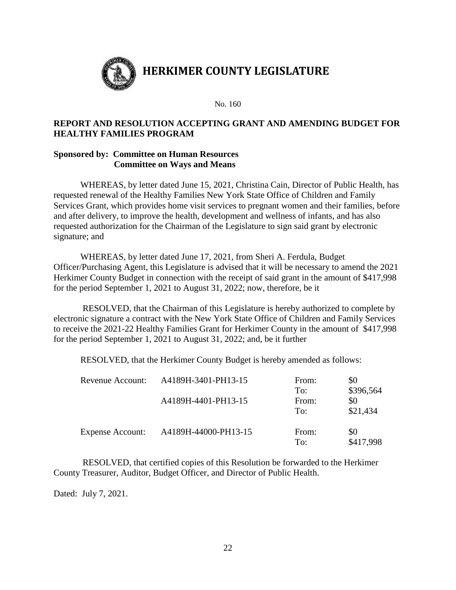

No. 160

#### **REPORT AND RESOLUTION ACCEPTING GRANT AND AMENDING BUDGET FOR HEALTHY FAMILIES PROGRAM**

#### **Sponsored by: Committee on Human Resources Committee on Ways and Means**

WHEREAS, by letter dated June 15, 2021, Christina Cain, Director of Public Health, has requested renewal of the Healthy Families New York State Office of Children and Family Services Grant, which provides home visit services to pregnant women and their families, before and after delivery, to improve the health, development and wellness of infants, and has also requested authorization for the Chairman of the Legislature to sign said grant by electronic signature; and

WHEREAS, by letter dated June 17, 2021, from Sheri A. Ferdula, Budget Officer/Purchasing Agent, this Legislature is advised that it will be necessary to amend the 2021 Herkimer County Budget in connection with the receipt of said grant in the amount of \$417,998 for the period September 1, 2021 to August 31, 2022; now, therefore, be it

RESOLVED, that the Chairman of this Legislature is hereby authorized to complete by electronic signature a contract with the New York State Office of Children and Family Services to receive the 2021-22 Healthy Families Grant for Herkimer County in the amount of \$417,998 for the period September 1, 2021 to August 31, 2022; and, be it further

RESOLVED, that the Herkimer County Budget is hereby amended as follows:

| Revenue Account:        | A4189H-3401-PH13-15  | From: | \$0       |
|-------------------------|----------------------|-------|-----------|
|                         |                      | To:   | \$396,564 |
|                         | A4189H-4401-PH13-15  | From: | \$0       |
|                         |                      | To:   | \$21,434  |
| <b>Expense Account:</b> | A4189H-44000-PH13-15 | From: | \$0       |
|                         |                      | To:   | \$417,998 |

RESOLVED, that certified copies of this Resolution be forwarded to the Herkimer County Treasurer, Auditor, Budget Officer, and Director of Public Health.

Dated: July 7, 2021.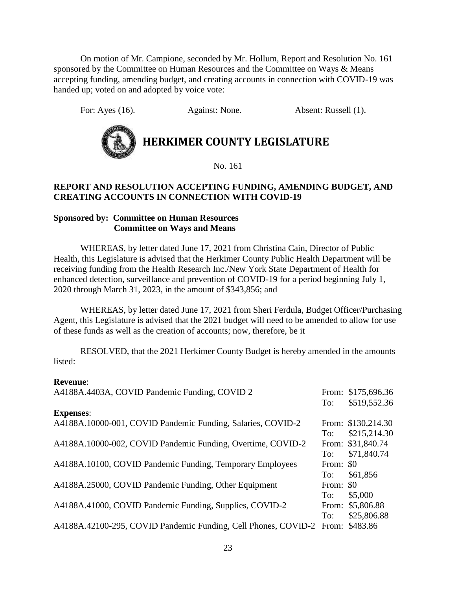On motion of Mr. Campione, seconded by Mr. Hollum, Report and Resolution No. 161 sponsored by the Committee on Human Resources and the Committee on Ways & Means accepting funding, amending budget, and creating accounts in connection with COVID-19 was handed up; voted on and adopted by voice vote:

For: Ayes (16). Against: None. Absent: Russell (1).



No. 161

#### **REPORT AND RESOLUTION ACCEPTING FUNDING, AMENDING BUDGET, AND CREATING ACCOUNTS IN CONNECTION WITH COVID-19**

#### **Sponsored by: Committee on Human Resources Committee on Ways and Means**

WHEREAS, by letter dated June 17, 2021 from Christina Cain, Director of Public Health, this Legislature is advised that the Herkimer County Public Health Department will be receiving funding from the Health Research Inc./New York State Department of Health for enhanced detection, surveillance and prevention of COVID-19 for a period beginning July 1, 2020 through March 31, 2023, in the amount of \$343,856; and

WHEREAS, by letter dated June 17, 2021 from Sheri Ferdula, Budget Officer/Purchasing Agent, this Legislature is advised that the 2021 budget will need to be amended to allow for use of these funds as well as the creation of accounts; now, therefore, be it

RESOLVED, that the 2021 Herkimer County Budget is hereby amended in the amounts listed:

#### **Revenue**:

| A4188A.4403A, COVID Pandemic Funding, COVID 2                                 |           | From: \$175,696.36 |
|-------------------------------------------------------------------------------|-----------|--------------------|
| <b>Expenses:</b>                                                              | To:       | \$519,552.36       |
| A4188A.10000-001, COVID Pandemic Funding, Salaries, COVID-2                   |           | From: \$130,214.30 |
|                                                                               | To:       | \$215,214.30       |
| A4188A.10000-002, COVID Pandemic Funding, Overtime, COVID-2                   |           | From: \$31,840.74  |
|                                                                               | To:       | \$71,840.74        |
| A4188A.10100, COVID Pandemic Funding, Temporary Employees                     | From: \$0 |                    |
|                                                                               | To:       | \$61,856           |
| A4188A.25000, COVID Pandemic Funding, Other Equipment                         | From: \$0 |                    |
|                                                                               | To:       | \$5,000            |
| A4188A.41000, COVID Pandemic Funding, Supplies, COVID-2                       |           | From: \$5,806.88   |
|                                                                               | To:       | \$25,806.88        |
| A4188A.42100-295, COVID Pandemic Funding, Cell Phones, COVID-2 From: \$483.86 |           |                    |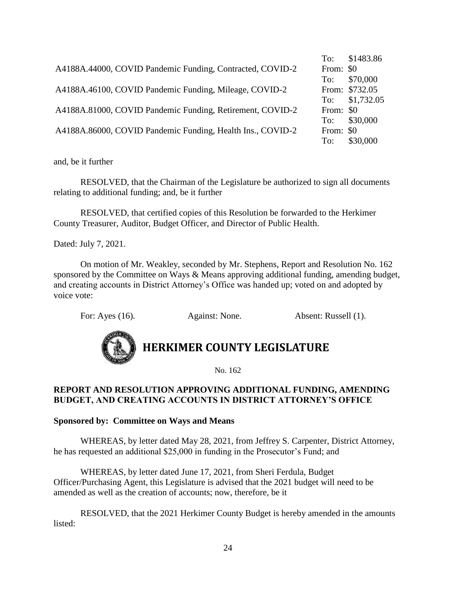|                                                            |           | To: \$1483.86  |
|------------------------------------------------------------|-----------|----------------|
| A4188A.44000, COVID Pandemic Funding, Contracted, COVID-2  | From: \$0 |                |
|                                                            | To:       | \$70,000       |
| A4188A.46100, COVID Pandemic Funding, Mileage, COVID-2     |           | From: \$732.05 |
|                                                            |           | To: \$1,732.05 |
| A4188A.81000, COVID Pandemic Funding, Retirement, COVID-2  | From: \$0 |                |
|                                                            |           | To: \$30,000   |
| A4188A.86000, COVID Pandemic Funding, Health Ins., COVID-2 | From: \$0 |                |
|                                                            | To:       | \$30,000       |

RESOLVED, that the Chairman of the Legislature be authorized to sign all documents relating to additional funding; and, be it further

RESOLVED, that certified copies of this Resolution be forwarded to the Herkimer County Treasurer, Auditor, Budget Officer, and Director of Public Health.

Dated: July 7, 2021.

On motion of Mr. Weakley, seconded by Mr. Stephens, Report and Resolution No. 162 sponsored by the Committee on Ways & Means approving additional funding, amending budget, and creating accounts in District Attorney's Office was handed up; voted on and adopted by voice vote:

For: Ayes (16). Against: None. Absent: Russell (1).



### **HERKIMER COUNTY LEGISLATURE**

No. 162

#### **REPORT AND RESOLUTION APPROVING ADDITIONAL FUNDING, AMENDING BUDGET, AND CREATING ACCOUNTS IN DISTRICT ATTORNEY'S OFFICE**

#### **Sponsored by: Committee on Ways and Means**

WHEREAS, by letter dated May 28, 2021, from Jeffrey S. Carpenter, District Attorney, he has requested an additional \$25,000 in funding in the Prosecutor's Fund; and

WHEREAS, by letter dated June 17, 2021, from Sheri Ferdula, Budget Officer/Purchasing Agent, this Legislature is advised that the 2021 budget will need to be amended as well as the creation of accounts; now, therefore, be it

RESOLVED, that the 2021 Herkimer County Budget is hereby amended in the amounts listed: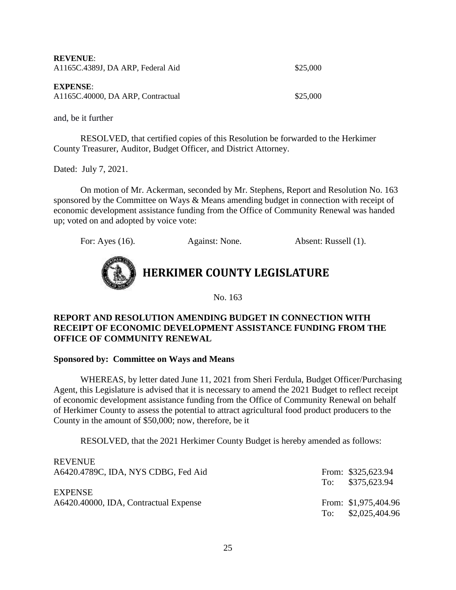| <b>REVENUE:</b><br>A1165C.4389J, DA ARP, Federal Aid | \$25,000 |
|------------------------------------------------------|----------|
| <b>EXPENSE:</b><br>A1165C.40000, DA ARP, Contractual | \$25,000 |

RESOLVED, that certified copies of this Resolution be forwarded to the Herkimer County Treasurer, Auditor, Budget Officer, and District Attorney.

Dated: July 7, 2021.

On motion of Mr. Ackerman, seconded by Mr. Stephens, Report and Resolution No. 163 sponsored by the Committee on Ways & Means amending budget in connection with receipt of economic development assistance funding from the Office of Community Renewal was handed up; voted on and adopted by voice vote:





No. 163

#### **REPORT AND RESOLUTION AMENDING BUDGET IN CONNECTION WITH RECEIPT OF ECONOMIC DEVELOPMENT ASSISTANCE FUNDING FROM THE OFFICE OF COMMUNITY RENEWAL**

#### **Sponsored by: Committee on Ways and Means**

WHEREAS, by letter dated June 11, 2021 from Sheri Ferdula, Budget Officer/Purchasing Agent, this Legislature is advised that it is necessary to amend the 2021 Budget to reflect receipt of economic development assistance funding from the Office of Community Renewal on behalf of Herkimer County to assess the potential to attract agricultural food product producers to the County in the amount of \$50,000; now, therefore, be it

RESOLVED, that the 2021 Herkimer County Budget is hereby amended as follows:

|     | From: \$325,623.94   |
|-----|----------------------|
|     | To: \$375,623.94     |
|     |                      |
|     | From: \$1,975,404.96 |
| To: | \$2,025,404.96       |
|     |                      |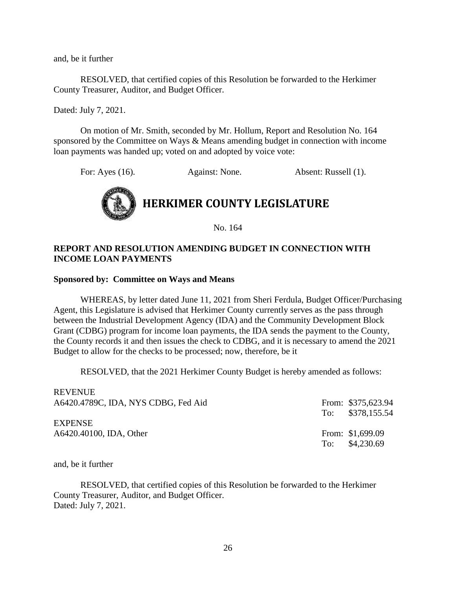RESOLVED, that certified copies of this Resolution be forwarded to the Herkimer County Treasurer, Auditor, and Budget Officer.

Dated: July 7, 2021.

On motion of Mr. Smith, seconded by Mr. Hollum, Report and Resolution No. 164 sponsored by the Committee on Ways & Means amending budget in connection with income loan payments was handed up; voted on and adopted by voice vote:

For: Ayes (16). Against: None. Absent: Russell (1).



No. 164

#### **REPORT AND RESOLUTION AMENDING BUDGET IN CONNECTION WITH INCOME LOAN PAYMENTS**

#### **Sponsored by: Committee on Ways and Means**

WHEREAS, by letter dated June 11, 2021 from Sheri Ferdula, Budget Officer/Purchasing Agent, this Legislature is advised that Herkimer County currently serves as the pass through between the Industrial Development Agency (IDA) and the Community Development Block Grant (CDBG) program for income loan payments, the IDA sends the payment to the County, the County records it and then issues the check to CDBG, and it is necessary to amend the 2021 Budget to allow for the checks to be processed; now, therefore, be it

RESOLVED, that the 2021 Herkimer County Budget is hereby amended as follows:

| <b>REVENUE</b>                      |                    |
|-------------------------------------|--------------------|
| A6420.4789C, IDA, NYS CDBG, Fed Aid | From: \$375,623.94 |
|                                     | To: \$378,155.54   |
| <b>EXPENSE</b>                      |                    |
| A6420.40100, IDA, Other             | From: \$1,699.09   |
|                                     | To: $$4,230.69$    |

and, be it further

RESOLVED, that certified copies of this Resolution be forwarded to the Herkimer County Treasurer, Auditor, and Budget Officer. Dated: July 7, 2021.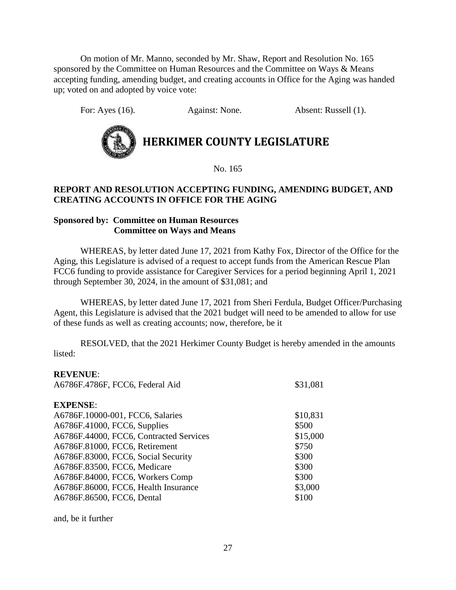On motion of Mr. Manno, seconded by Mr. Shaw, Report and Resolution No. 165 sponsored by the Committee on Human Resources and the Committee on Ways & Means accepting funding, amending budget, and creating accounts in Office for the Aging was handed up; voted on and adopted by voice vote:

For: Ayes (16). Against: None. Absent: Russell (1).



**HERKIMER COUNTY LEGISLATURE**

No. 165

#### **REPORT AND RESOLUTION ACCEPTING FUNDING, AMENDING BUDGET, AND CREATING ACCOUNTS IN OFFICE FOR THE AGING**

#### **Sponsored by: Committee on Human Resources Committee on Ways and Means**

WHEREAS, by letter dated June 17, 2021 from Kathy Fox, Director of the Office for the Aging, this Legislature is advised of a request to accept funds from the American Rescue Plan FCC6 funding to provide assistance for Caregiver Services for a period beginning April 1, 2021 through September 30, 2024, in the amount of \$31,081; and

WHEREAS, by letter dated June 17, 2021 from Sheri Ferdula, Budget Officer/Purchasing Agent, this Legislature is advised that the 2021 budget will need to be amended to allow for use of these funds as well as creating accounts; now, therefore, be it

RESOLVED, that the 2021 Herkimer County Budget is hereby amended in the amounts listed:

#### **REVENUE**:

| A6786F.4786F, FCC6, Federal Aid         | \$31,081 |
|-----------------------------------------|----------|
| <b>EXPENSE:</b>                         |          |
| A6786F.10000-001, FCC6, Salaries        | \$10,831 |
| A6786F.41000, FCC6, Supplies            | \$500    |
| A6786F.44000, FCC6, Contracted Services | \$15,000 |
| A6786F.81000, FCC6, Retirement          | \$750    |
| A6786F.83000, FCC6, Social Security     | \$300    |
| A6786F.83500, FCC6, Medicare            | \$300    |
| A6786F.84000, FCC6, Workers Comp        | \$300    |
| A6786F.86000, FCC6, Health Insurance    | \$3,000  |
| A6786F.86500, FCC6, Dental              | \$100    |
|                                         |          |

and, be it further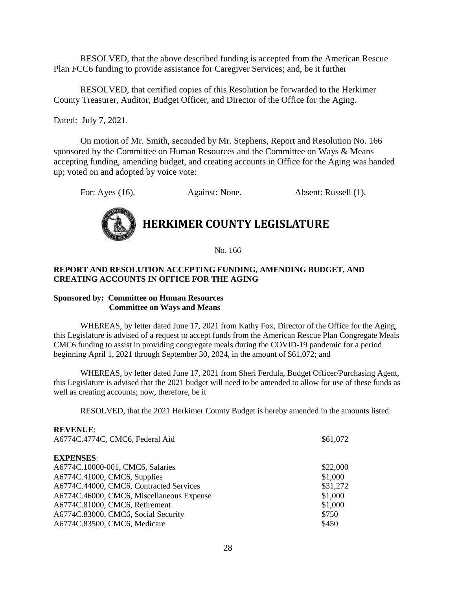RESOLVED, that the above described funding is accepted from the American Rescue Plan FCC6 funding to provide assistance for Caregiver Services; and, be it further

RESOLVED, that certified copies of this Resolution be forwarded to the Herkimer County Treasurer, Auditor, Budget Officer, and Director of the Office for the Aging.

Dated: July 7, 2021.

**REVENUE**:

On motion of Mr. Smith, seconded by Mr. Stephens, Report and Resolution No. 166 sponsored by the Committee on Human Resources and the Committee on Ways & Means accepting funding, amending budget, and creating accounts in Office for the Aging was handed up; voted on and adopted by voice vote:

For: Ayes (16). Against: None. Absent: Russell (1).



### **HERKIMER COUNTY LEGISLATURE**

No. 166

#### **REPORT AND RESOLUTION ACCEPTING FUNDING, AMENDING BUDGET, AND CREATING ACCOUNTS IN OFFICE FOR THE AGING**

#### **Sponsored by: Committee on Human Resources Committee on Ways and Means**

WHEREAS, by letter dated June 17, 2021 from Kathy Fox, Director of the Office for the Aging, this Legislature is advised of a request to accept funds from the American Rescue Plan Congregate Meals CMC6 funding to assist in providing congregate meals during the COVID-19 pandemic for a period beginning April 1, 2021 through September 30, 2024, in the amount of \$61,072; and

WHEREAS, by letter dated June 17, 2021 from Sheri Ferdula, Budget Officer/Purchasing Agent, this Legislature is advised that the 2021 budget will need to be amended to allow for use of these funds as well as creating accounts; now, therefore, be it

RESOLVED, that the 2021 Herkimer County Budget is hereby amended in the amounts listed:

| IVE V ETVEL.                              |          |
|-------------------------------------------|----------|
| A6774C.4774C, CMC6, Federal Aid           | \$61,072 |
| <b>EXPENSES:</b>                          |          |
| A6774C.10000-001, CMC6, Salaries          | \$22,000 |
| A6774C.41000, CMC6, Supplies              | \$1,000  |
| A6774C.44000, CMC6, Contracted Services   | \$31,272 |
| A6774C.46000, CMC6, Miscellaneous Expense | \$1,000  |
| A6774C.81000, CMC6, Retirement            | \$1,000  |
| A6774C.83000, CMC6, Social Security       | \$750    |
| A6774C.83500, CMC6, Medicare              | \$450    |
|                                           |          |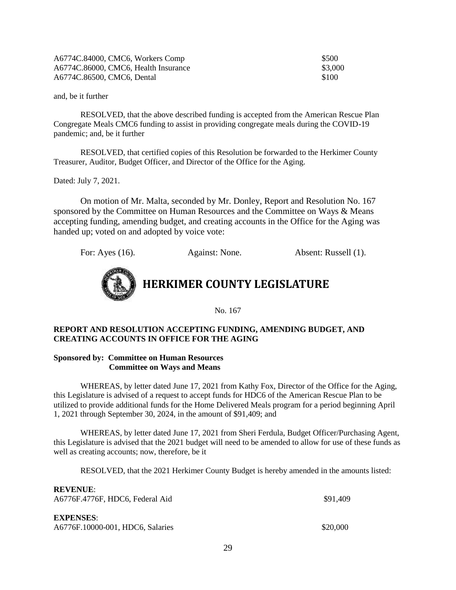| A6774C.84000, CMC6, Workers Comp     | \$500   |
|--------------------------------------|---------|
| A6774C.86000, CMC6, Health Insurance | \$3,000 |
| A6774C.86500, CMC6, Dental           | \$100   |

RESOLVED, that the above described funding is accepted from the American Rescue Plan Congregate Meals CMC6 funding to assist in providing congregate meals during the COVID-19 pandemic; and, be it further

RESOLVED, that certified copies of this Resolution be forwarded to the Herkimer County Treasurer, Auditor, Budget Officer, and Director of the Office for the Aging.

Dated: July 7, 2021.

**REVENUE**:

On motion of Mr. Malta, seconded by Mr. Donley, Report and Resolution No. 167 sponsored by the Committee on Human Resources and the Committee on Ways & Means accepting funding, amending budget, and creating accounts in the Office for the Aging was handed up; voted on and adopted by voice vote:

For: Ayes (16). Against: None. Absent: Russell (1).



**HERKIMER COUNTY LEGISLATURE**

No. 167

#### **REPORT AND RESOLUTION ACCEPTING FUNDING, AMENDING BUDGET, AND CREATING ACCOUNTS IN OFFICE FOR THE AGING**

#### **Sponsored by: Committee on Human Resources Committee on Ways and Means**

WHEREAS, by letter dated June 17, 2021 from Kathy Fox, Director of the Office for the Aging, this Legislature is advised of a request to accept funds for HDC6 of the American Rescue Plan to be utilized to provide additional funds for the Home Delivered Meals program for a period beginning April 1, 2021 through September 30, 2024, in the amount of \$91,409; and

WHEREAS, by letter dated June 17, 2021 from Sheri Ferdula, Budget Officer/Purchasing Agent, this Legislature is advised that the 2021 budget will need to be amended to allow for use of these funds as well as creating accounts; now, therefore, be it

RESOLVED, that the 2021 Herkimer County Budget is hereby amended in the amounts listed:

| <b>REVENUE:</b><br>A6776F.4776F, HDC6, Federal Aid   | \$91.409 |
|------------------------------------------------------|----------|
| <b>EXPENSES:</b><br>A6776F.10000-001, HDC6, Salaries | \$20,000 |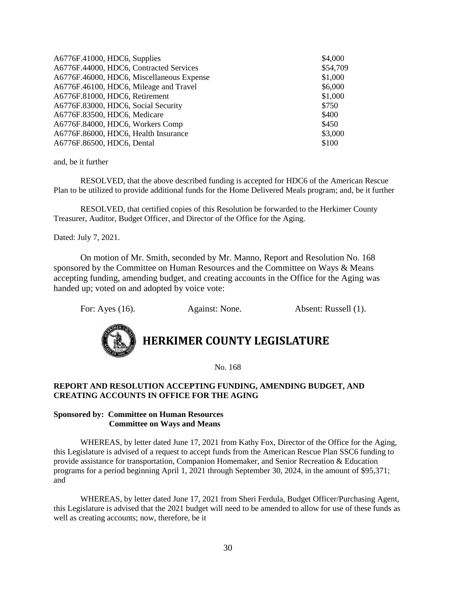| A6776F.41000, HDC6, Supplies              | \$4,000  |
|-------------------------------------------|----------|
| A6776F.44000, HDC6, Contracted Services   | \$54,709 |
| A6776F.46000, HDC6, Miscellaneous Expense | \$1,000  |
| A6776F.46100, HDC6, Mileage and Travel    | \$6,000  |
| A6776F.81000, HDC6, Retirement            | \$1,000  |
| A6776F.83000, HDC6, Social Security       | \$750    |
| A6776F.83500, HDC6, Medicare              | \$400    |
| A6776F.84000, HDC6, Workers Comp          | \$450    |
| A6776F.86000, HDC6, Health Insurance      | \$3,000  |
| A6776F.86500, HDC6, Dental                | \$100    |

RESOLVED, that the above described funding is accepted for HDC6 of the American Rescue Plan to be utilized to provide additional funds for the Home Delivered Meals program; and, be it further

RESOLVED, that certified copies of this Resolution be forwarded to the Herkimer County Treasurer, Auditor, Budget Officer, and Director of the Office for the Aging.

Dated: July 7, 2021.

On motion of Mr. Smith, seconded by Mr. Manno, Report and Resolution No. 168 sponsored by the Committee on Human Resources and the Committee on Ways & Means accepting funding, amending budget, and creating accounts in the Office for the Aging was handed up; voted on and adopted by voice vote:

For: Ayes (16). Against: None. Absent: Russell (1).



**HERKIMER COUNTY LEGISLATURE**

No. 168

#### **REPORT AND RESOLUTION ACCEPTING FUNDING, AMENDING BUDGET, AND CREATING ACCOUNTS IN OFFICE FOR THE AGING**

#### **Sponsored by: Committee on Human Resources Committee on Ways and Means**

WHEREAS, by letter dated June 17, 2021 from Kathy Fox, Director of the Office for the Aging, this Legislature is advised of a request to accept funds from the American Rescue Plan SSC6 funding to provide assistance for transportation, Companion Homemaker, and Senior Recreation & Education programs for a period beginning April 1, 2021 through September 30, 2024, in the amount of \$95,371; and

WHEREAS, by letter dated June 17, 2021 from Sheri Ferdula, Budget Officer/Purchasing Agent, this Legislature is advised that the 2021 budget will need to be amended to allow for use of these funds as well as creating accounts; now, therefore, be it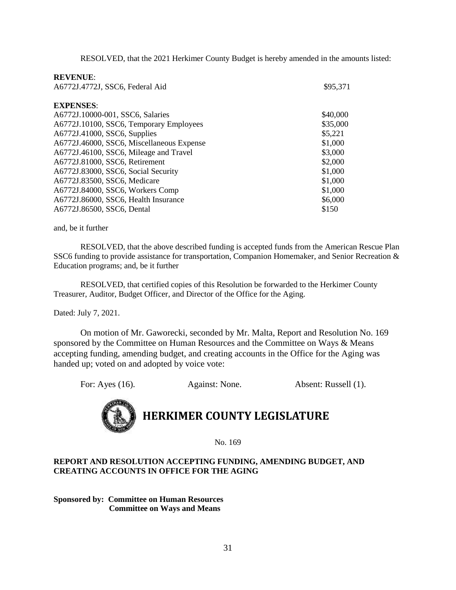RESOLVED, that the 2021 Herkimer County Budget is hereby amended in the amounts listed:

#### **REVENUE**:

| \$95,371 |
|----------|
|          |
| \$40,000 |
| \$35,000 |
| \$5,221  |
| \$1,000  |
| \$3,000  |
| \$2,000  |
| \$1,000  |
| \$1,000  |
| \$1,000  |
| \$6,000  |
| \$150    |
|          |

and, be it further

RESOLVED, that the above described funding is accepted funds from the American Rescue Plan SSC6 funding to provide assistance for transportation, Companion Homemaker, and Senior Recreation & Education programs; and, be it further

RESOLVED, that certified copies of this Resolution be forwarded to the Herkimer County Treasurer, Auditor, Budget Officer, and Director of the Office for the Aging.

Dated: July 7, 2021.

On motion of Mr. Gaworecki, seconded by Mr. Malta, Report and Resolution No. 169 sponsored by the Committee on Human Resources and the Committee on Ways & Means accepting funding, amending budget, and creating accounts in the Office for the Aging was handed up; voted on and adopted by voice vote:

For: Ayes (16). Against: None. Absent: Russell (1).

## **HERKIMER COUNTY LEGISLATURE**

No. 169

#### **REPORT AND RESOLUTION ACCEPTING FUNDING, AMENDING BUDGET, AND CREATING ACCOUNTS IN OFFICE FOR THE AGING**

**Sponsored by: Committee on Human Resources Committee on Ways and Means**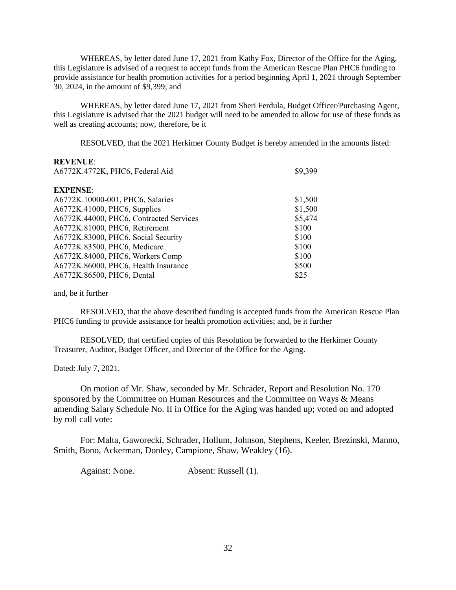WHEREAS, by letter dated June 17, 2021 from Kathy Fox, Director of the Office for the Aging, this Legislature is advised of a request to accept funds from the American Rescue Plan PHC6 funding to provide assistance for health promotion activities for a period beginning April 1, 2021 through September 30, 2024, in the amount of \$9,399; and

WHEREAS, by letter dated June 17, 2021 from Sheri Ferdula, Budget Officer/Purchasing Agent, this Legislature is advised that the 2021 budget will need to be amended to allow for use of these funds as well as creating accounts; now, therefore, be it

RESOLVED, that the 2021 Herkimer County Budget is hereby amended in the amounts listed:

#### **REVENUE**:

| \$9,399 |
|---------|
|         |
| \$1,500 |
| \$1,500 |
| \$5,474 |
| \$100   |
| \$100   |
| \$100   |
| \$100   |
| \$500   |
| \$25    |
|         |

and, be it further

RESOLVED, that the above described funding is accepted funds from the American Rescue Plan PHC6 funding to provide assistance for health promotion activities; and, be it further

RESOLVED, that certified copies of this Resolution be forwarded to the Herkimer County Treasurer, Auditor, Budget Officer, and Director of the Office for the Aging.

Dated: July 7, 2021.

On motion of Mr. Shaw, seconded by Mr. Schrader, Report and Resolution No. 170 sponsored by the Committee on Human Resources and the Committee on Ways & Means amending Salary Schedule No. II in Office for the Aging was handed up; voted on and adopted by roll call vote:

For: Malta, Gaworecki, Schrader, Hollum, Johnson, Stephens, Keeler, Brezinski, Manno, Smith, Bono, Ackerman, Donley, Campione, Shaw, Weakley (16).

Against: None. Absent: Russell (1).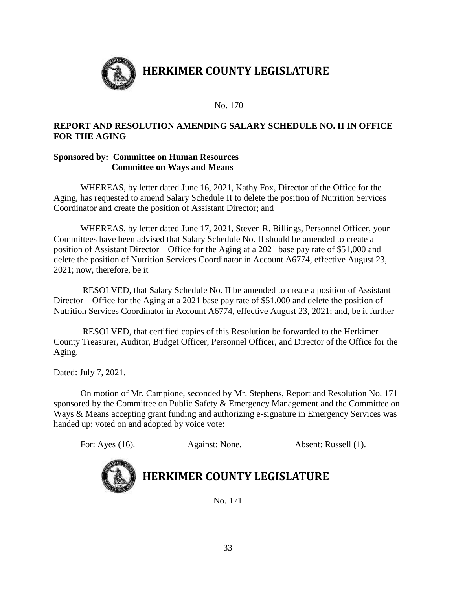

No. 170

#### **REPORT AND RESOLUTION AMENDING SALARY SCHEDULE NO. II IN OFFICE FOR THE AGING**

#### **Sponsored by: Committee on Human Resources Committee on Ways and Means**

WHEREAS, by letter dated June 16, 2021, Kathy Fox, Director of the Office for the Aging, has requested to amend Salary Schedule II to delete the position of Nutrition Services Coordinator and create the position of Assistant Director; and

WHEREAS, by letter dated June 17, 2021, Steven R. Billings, Personnel Officer, your Committees have been advised that Salary Schedule No. II should be amended to create a position of Assistant Director – Office for the Aging at a 2021 base pay rate of \$51,000 and delete the position of Nutrition Services Coordinator in Account A6774, effective August 23, 2021; now, therefore, be it

RESOLVED, that Salary Schedule No. II be amended to create a position of Assistant Director – Office for the Aging at a 2021 base pay rate of \$51,000 and delete the position of Nutrition Services Coordinator in Account A6774, effective August 23, 2021; and, be it further

RESOLVED, that certified copies of this Resolution be forwarded to the Herkimer County Treasurer, Auditor, Budget Officer, Personnel Officer, and Director of the Office for the Aging.

Dated: July 7, 2021.

On motion of Mr. Campione, seconded by Mr. Stephens, Report and Resolution No. 171 sponsored by the Committee on Public Safety & Emergency Management and the Committee on Ways & Means accepting grant funding and authorizing e-signature in Emergency Services was handed up; voted on and adopted by voice vote:

For: Ayes (16). Against: None. Absent: Russell (1).



## **HERKIMER COUNTY LEGISLATURE**

No. 171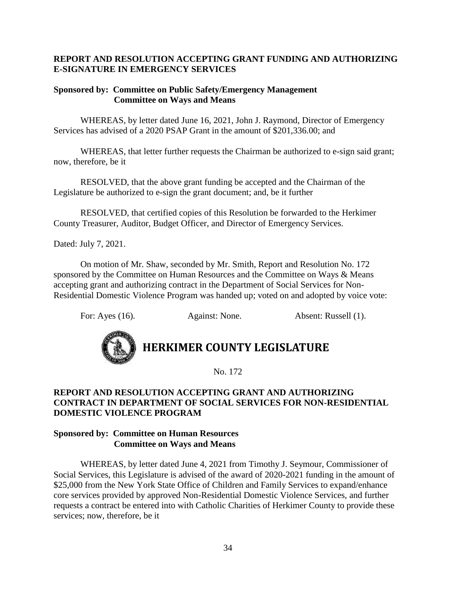#### **REPORT AND RESOLUTION ACCEPTING GRANT FUNDING AND AUTHORIZING E-SIGNATURE IN EMERGENCY SERVICES**

#### **Sponsored by: Committee on Public Safety/Emergency Management Committee on Ways and Means**

WHEREAS, by letter dated June 16, 2021, John J. Raymond, Director of Emergency Services has advised of a 2020 PSAP Grant in the amount of \$201,336.00; and

WHEREAS, that letter further requests the Chairman be authorized to e-sign said grant; now, therefore, be it

RESOLVED, that the above grant funding be accepted and the Chairman of the Legislature be authorized to e-sign the grant document; and, be it further

RESOLVED, that certified copies of this Resolution be forwarded to the Herkimer County Treasurer, Auditor, Budget Officer, and Director of Emergency Services.

Dated: July 7, 2021.

On motion of Mr. Shaw, seconded by Mr. Smith, Report and Resolution No. 172 sponsored by the Committee on Human Resources and the Committee on Ways & Means accepting grant and authorizing contract in the Department of Social Services for Non-Residential Domestic Violence Program was handed up; voted on and adopted by voice vote:

For: Ayes (16). Against: None. Absent: Russell (1).



### **HERKIMER COUNTY LEGISLATURE**

No. 172

#### **REPORT AND RESOLUTION ACCEPTING GRANT AND AUTHORIZING CONTRACT IN DEPARTMENT OF SOCIAL SERVICES FOR NON-RESIDENTIAL DOMESTIC VIOLENCE PROGRAM**

#### **Sponsored by: Committee on Human Resources Committee on Ways and Means**

WHEREAS, by letter dated June 4, 2021 from Timothy J. Seymour, Commissioner of Social Services, this Legislature is advised of the award of 2020-2021 funding in the amount of \$25,000 from the New York State Office of Children and Family Services to expand/enhance core services provided by approved Non-Residential Domestic Violence Services, and further requests a contract be entered into with Catholic Charities of Herkimer County to provide these services; now, therefore, be it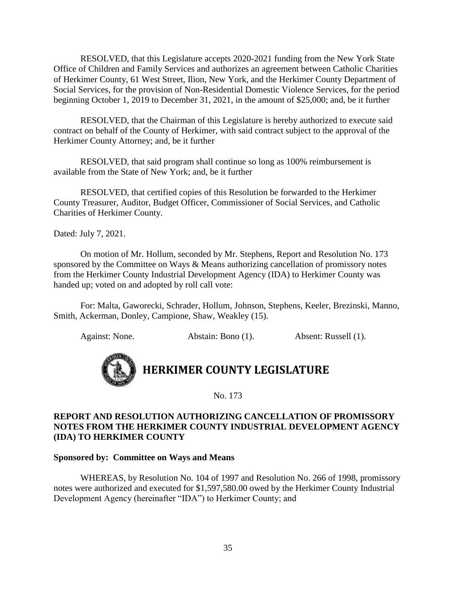RESOLVED, that this Legislature accepts 2020-2021 funding from the New York State Office of Children and Family Services and authorizes an agreement between Catholic Charities of Herkimer County, 61 West Street, Ilion, New York, and the Herkimer County Department of Social Services, for the provision of Non-Residential Domestic Violence Services, for the period beginning October 1, 2019 to December 31, 2021, in the amount of \$25,000; and, be it further

RESOLVED, that the Chairman of this Legislature is hereby authorized to execute said contract on behalf of the County of Herkimer, with said contract subject to the approval of the Herkimer County Attorney; and, be it further

RESOLVED, that said program shall continue so long as 100% reimbursement is available from the State of New York; and, be it further

RESOLVED, that certified copies of this Resolution be forwarded to the Herkimer County Treasurer, Auditor, Budget Officer, Commissioner of Social Services, and Catholic Charities of Herkimer County.

Dated: July 7, 2021.

On motion of Mr. Hollum, seconded by Mr. Stephens, Report and Resolution No. 173 sponsored by the Committee on Ways & Means authorizing cancellation of promissory notes from the Herkimer County Industrial Development Agency (IDA) to Herkimer County was handed up; voted on and adopted by roll call vote:

For: Malta, Gaworecki, Schrader, Hollum, Johnson, Stephens, Keeler, Brezinski, Manno, Smith, Ackerman, Donley, Campione, Shaw, Weakley (15).

Against: None. Abstain: Bono (1). Absent: Russell (1).



**HERKIMER COUNTY LEGISLATURE**

No. 173

#### **REPORT AND RESOLUTION AUTHORIZING CANCELLATION OF PROMISSORY NOTES FROM THE HERKIMER COUNTY INDUSTRIAL DEVELOPMENT AGENCY (IDA) TO HERKIMER COUNTY**

#### **Sponsored by: Committee on Ways and Means**

WHEREAS, by Resolution No. 104 of 1997 and Resolution No. 266 of 1998, promissory notes were authorized and executed for \$1,597,580.00 owed by the Herkimer County Industrial Development Agency (hereinafter "IDA") to Herkimer County; and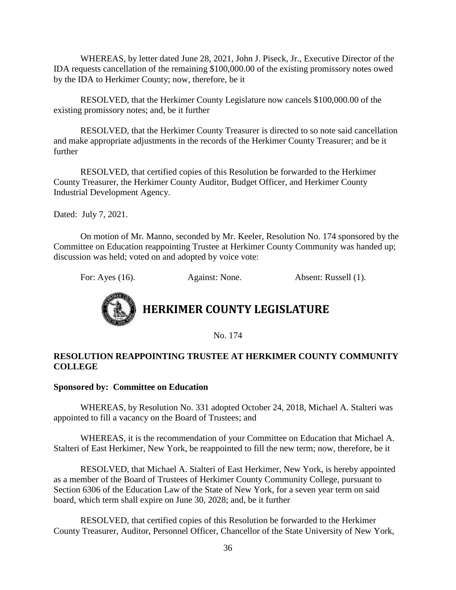WHEREAS, by letter dated June 28, 2021, John J. Piseck, Jr., Executive Director of the IDA requests cancellation of the remaining \$100,000.00 of the existing promissory notes owed by the IDA to Herkimer County; now, therefore, be it

RESOLVED, that the Herkimer County Legislature now cancels \$100,000.00 of the existing promissory notes; and, be it further

RESOLVED, that the Herkimer County Treasurer is directed to so note said cancellation and make appropriate adjustments in the records of the Herkimer County Treasurer; and be it further

RESOLVED, that certified copies of this Resolution be forwarded to the Herkimer County Treasurer, the Herkimer County Auditor, Budget Officer, and Herkimer County Industrial Development Agency.

Dated: July 7, 2021.

On motion of Mr. Manno, seconded by Mr. Keeler, Resolution No. 174 sponsored by the Committee on Education reappointing Trustee at Herkimer County Community was handed up; discussion was held; voted on and adopted by voice vote:

For: Ayes (16). Against: None. Absent: Russell (1).



No. 174

#### **RESOLUTION REAPPOINTING TRUSTEE AT HERKIMER COUNTY COMMUNITY COLLEGE**

#### **Sponsored by: Committee on Education**

WHEREAS, by Resolution No. 331 adopted October 24, 2018, Michael A. Stalteri was appointed to fill a vacancy on the Board of Trustees; and

WHEREAS, it is the recommendation of your Committee on Education that Michael A. Stalteri of East Herkimer, New York, be reappointed to fill the new term; now, therefore, be it

RESOLVED, that Michael A. Stalteri of East Herkimer, New York, is hereby appointed as a member of the Board of Trustees of Herkimer County Community College, pursuant to Section 6306 of the Education Law of the State of New York, for a seven year term on said board, which term shall expire on June 30, 2028; and, be it further

RESOLVED, that certified copies of this Resolution be forwarded to the Herkimer County Treasurer, Auditor, Personnel Officer, Chancellor of the State University of New York,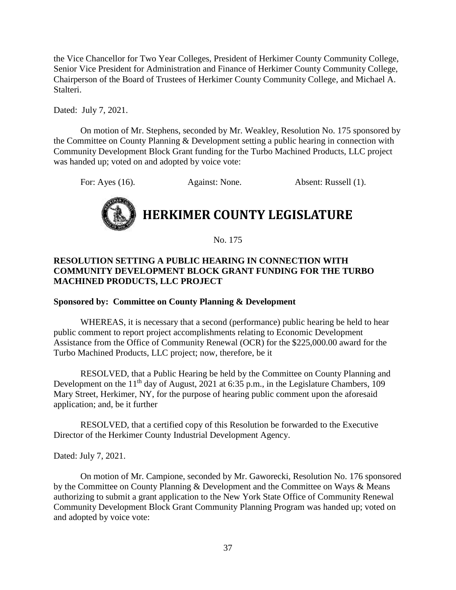the Vice Chancellor for Two Year Colleges, President of Herkimer County Community College, Senior Vice President for Administration and Finance of Herkimer County Community College, Chairperson of the Board of Trustees of Herkimer County Community College, and Michael A. Stalteri.

Dated: July 7, 2021.

On motion of Mr. Stephens, seconded by Mr. Weakley, Resolution No. 175 sponsored by the Committee on County Planning & Development setting a public hearing in connection with Community Development Block Grant funding for the Turbo Machined Products, LLC project was handed up; voted on and adopted by voice vote:

For: Ayes (16). Against: None. Absent: Russell (1).



No. 175

#### **RESOLUTION SETTING A PUBLIC HEARING IN CONNECTION WITH COMMUNITY DEVELOPMENT BLOCK GRANT FUNDING FOR THE TURBO MACHINED PRODUCTS, LLC PROJECT**

#### **Sponsored by: Committee on County Planning & Development**

WHEREAS, it is necessary that a second (performance) public hearing be held to hear public comment to report project accomplishments relating to Economic Development Assistance from the Office of Community Renewal (OCR) for the \$225,000.00 award for the Turbo Machined Products, LLC project; now, therefore, be it

RESOLVED, that a Public Hearing be held by the Committee on County Planning and Development on the  $11<sup>th</sup>$  day of August, 2021 at 6:35 p.m., in the Legislature Chambers, 109 Mary Street, Herkimer, NY, for the purpose of hearing public comment upon the aforesaid application; and, be it further

RESOLVED, that a certified copy of this Resolution be forwarded to the Executive Director of the Herkimer County Industrial Development Agency.

Dated: July 7, 2021.

On motion of Mr. Campione, seconded by Mr. Gaworecki, Resolution No. 176 sponsored by the Committee on County Planning & Development and the Committee on Ways & Means authorizing to submit a grant application to the New York State Office of Community Renewal Community Development Block Grant Community Planning Program was handed up; voted on and adopted by voice vote: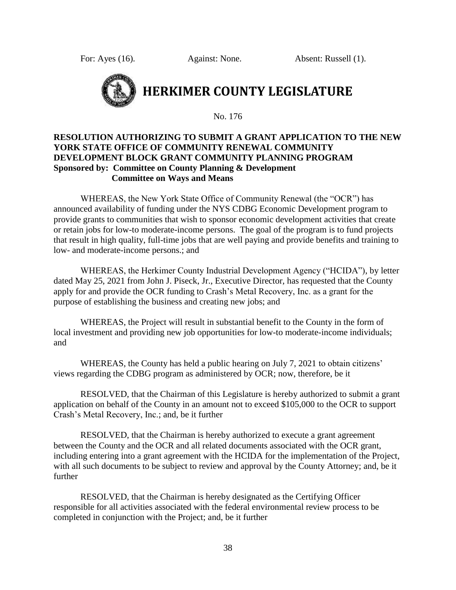For: Ayes (16). Against: None. Absent: Russell (1).



## **HERKIMER COUNTY LEGISLATURE**

No. 176

#### **RESOLUTION AUTHORIZING TO SUBMIT A GRANT APPLICATION TO THE NEW YORK STATE OFFICE OF COMMUNITY RENEWAL COMMUNITY DEVELOPMENT BLOCK GRANT COMMUNITY PLANNING PROGRAM Sponsored by: Committee on County Planning & Development Committee on Ways and Means**

WHEREAS, the New York State Office of Community Renewal (the "OCR") has announced availability of funding under the NYS CDBG Economic Development program to provide grants to communities that wish to sponsor economic development activities that create or retain jobs for low-to moderate-income persons. The goal of the program is to fund projects that result in high quality, full-time jobs that are well paying and provide benefits and training to low- and moderate-income persons.; and

WHEREAS, the Herkimer County Industrial Development Agency ("HCIDA"), by letter dated May 25, 2021 from John J. Piseck, Jr., Executive Director, has requested that the County apply for and provide the OCR funding to Crash's Metal Recovery, Inc. as a grant for the purpose of establishing the business and creating new jobs; and

WHEREAS, the Project will result in substantial benefit to the County in the form of local investment and providing new job opportunities for low-to moderate-income individuals; and

WHEREAS, the County has held a public hearing on July 7, 2021 to obtain citizens' views regarding the CDBG program as administered by OCR; now, therefore, be it

RESOLVED, that the Chairman of this Legislature is hereby authorized to submit a grant application on behalf of the County in an amount not to exceed \$105,000 to the OCR to support Crash's Metal Recovery, Inc.; and, be it further

RESOLVED, that the Chairman is hereby authorized to execute a grant agreement between the County and the OCR and all related documents associated with the OCR grant, including entering into a grant agreement with the HCIDA for the implementation of the Project, with all such documents to be subject to review and approval by the County Attorney; and, be it further

RESOLVED, that the Chairman is hereby designated as the Certifying Officer responsible for all activities associated with the federal environmental review process to be completed in conjunction with the Project; and, be it further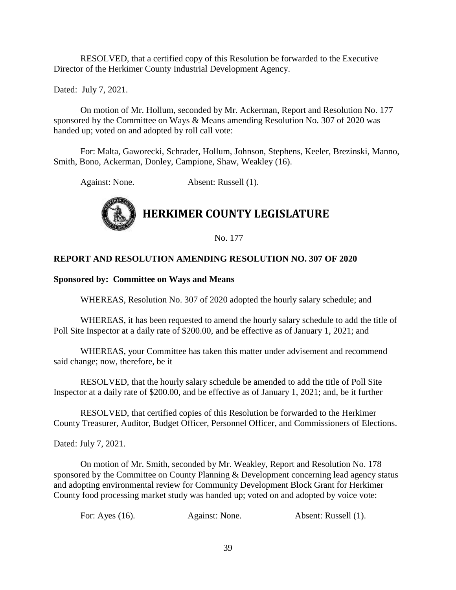RESOLVED, that a certified copy of this Resolution be forwarded to the Executive Director of the Herkimer County Industrial Development Agency.

Dated: July 7, 2021.

On motion of Mr. Hollum, seconded by Mr. Ackerman, Report and Resolution No. 177 sponsored by the Committee on Ways & Means amending Resolution No. 307 of 2020 was handed up; voted on and adopted by roll call vote:

For: Malta, Gaworecki, Schrader, Hollum, Johnson, Stephens, Keeler, Brezinski, Manno, Smith, Bono, Ackerman, Donley, Campione, Shaw, Weakley (16).

Against: None. Absent: Russell (1).



No. 177

#### **REPORT AND RESOLUTION AMENDING RESOLUTION NO. 307 OF 2020**

#### **Sponsored by: Committee on Ways and Means**

WHEREAS, Resolution No. 307 of 2020 adopted the hourly salary schedule; and

WHEREAS, it has been requested to amend the hourly salary schedule to add the title of Poll Site Inspector at a daily rate of \$200.00, and be effective as of January 1, 2021; and

WHEREAS, your Committee has taken this matter under advisement and recommend said change; now, therefore, be it

RESOLVED, that the hourly salary schedule be amended to add the title of Poll Site Inspector at a daily rate of \$200.00, and be effective as of January 1, 2021; and, be it further

RESOLVED, that certified copies of this Resolution be forwarded to the Herkimer County Treasurer, Auditor, Budget Officer, Personnel Officer, and Commissioners of Elections.

Dated: July 7, 2021.

On motion of Mr. Smith, seconded by Mr. Weakley, Report and Resolution No. 178 sponsored by the Committee on County Planning & Development concerning lead agency status and adopting environmental review for Community Development Block Grant for Herkimer County food processing market study was handed up; voted on and adopted by voice vote:

For: Ayes (16). Against: None. Absent: Russell (1).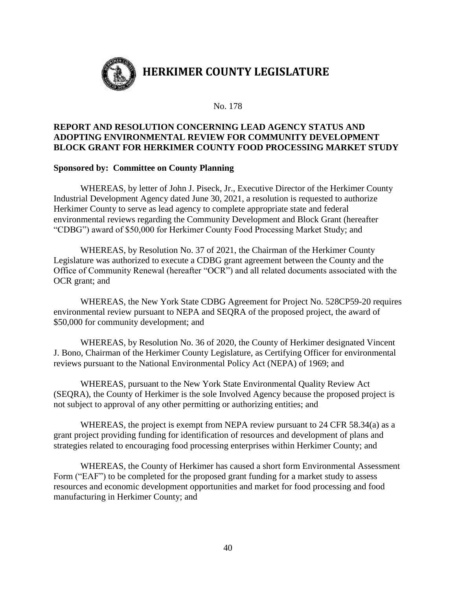

No. 178

#### **REPORT AND RESOLUTION CONCERNING LEAD AGENCY STATUS AND ADOPTING ENVIRONMENTAL REVIEW FOR COMMUNITY DEVELOPMENT BLOCK GRANT FOR HERKIMER COUNTY FOOD PROCESSING MARKET STUDY**

#### **Sponsored by: Committee on County Planning**

WHEREAS, by letter of John J. Piseck, Jr., Executive Director of the Herkimer County Industrial Development Agency dated June 30, 2021, a resolution is requested to authorize Herkimer County to serve as lead agency to complete appropriate state and federal environmental reviews regarding the Community Development and Block Grant (hereafter "CDBG") award of \$50,000 for Herkimer County Food Processing Market Study; and

WHEREAS, by Resolution No. 37 of 2021, the Chairman of the Herkimer County Legislature was authorized to execute a CDBG grant agreement between the County and the Office of Community Renewal (hereafter "OCR") and all related documents associated with the OCR grant; and

WHEREAS, the New York State CDBG Agreement for Project No. 528CP59-20 requires environmental review pursuant to NEPA and SEQRA of the proposed project, the award of \$50,000 for community development; and

WHEREAS, by Resolution No. 36 of 2020, the County of Herkimer designated Vincent J. Bono, Chairman of the Herkimer County Legislature, as Certifying Officer for environmental reviews pursuant to the National Environmental Policy Act (NEPA) of 1969; and

WHEREAS, pursuant to the New York State Environmental Quality Review Act (SEQRA), the County of Herkimer is the sole Involved Agency because the proposed project is not subject to approval of any other permitting or authorizing entities; and

WHEREAS, the project is exempt from NEPA review pursuant to 24 CFR 58.34(a) as a grant project providing funding for identification of resources and development of plans and strategies related to encouraging food processing enterprises within Herkimer County; and

WHEREAS, the County of Herkimer has caused a short form Environmental Assessment Form ("EAF") to be completed for the proposed grant funding for a market study to assess resources and economic development opportunities and market for food processing and food manufacturing in Herkimer County; and